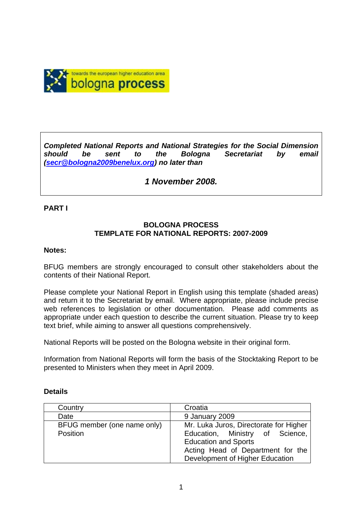

*Completed National Reports and National Strategies for the Social Dimension should be sent to the Bologna Secretariat by email (secr@bologna2009benelux.org) no later than* 

# *1 November 2008.*

#### **PART I**

#### **BOLOGNA PROCESS TEMPLATE FOR NATIONAL REPORTS: 2007-2009**

#### **Notes:**

BFUG members are strongly encouraged to consult other stakeholders about the contents of their National Report.

Please complete your National Report in English using this template (shaded areas) and return it to the Secretariat by email. Where appropriate, please include precise web references to legislation or other documentation. Please add comments as appropriate under each question to describe the current situation. Please try to keep text brief, while aiming to answer all questions comprehensively.

National Reports will be posted on the Bologna website in their original form.

Information from National Reports will form the basis of the Stocktaking Report to be presented to Ministers when they meet in April 2009.

| Country                     | Croatia                                |  |  |
|-----------------------------|----------------------------------------|--|--|
| Date                        | 9 January 2009                         |  |  |
| BFUG member (one name only) | Mr. Luka Juros, Directorate for Higher |  |  |
| Position                    | Education, Ministry of Science,        |  |  |
|                             | <b>Education and Sports</b>            |  |  |
|                             | Acting Head of Department for the      |  |  |
|                             | Development of Higher Education        |  |  |

#### **Details**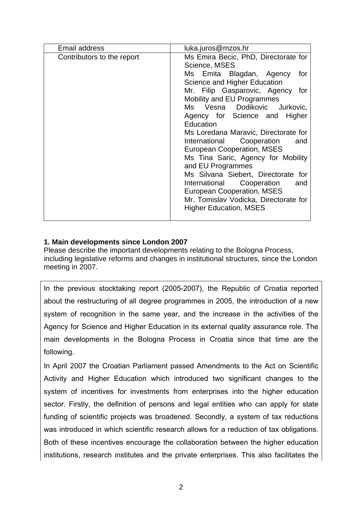| Email address              | luka.juros@mzos.hr                                                                                                                                                                                                                                                                                                                                                                                                                                                                                                                                                                                                                     |
|----------------------------|----------------------------------------------------------------------------------------------------------------------------------------------------------------------------------------------------------------------------------------------------------------------------------------------------------------------------------------------------------------------------------------------------------------------------------------------------------------------------------------------------------------------------------------------------------------------------------------------------------------------------------------|
| Contributors to the report | Ms Emira Becic, PhD, Directorate for<br>Science, MSES<br>Ms Emita Blagdan, Agency<br>for<br>Science and Higher Education<br>Mr. Filip Gasparovic, Agency for<br>Mobility and EU Programmes<br>Ms Vesna Dodikovic Jurkovic,<br>Agency for Science and Higher<br>Education<br>Ms Loredana Maravic, Directorate for<br>Cooperation<br>International<br>and<br>European Cooperation, MSES<br>Ms Tina Saric, Agency for Mobility<br>and EU Programmes<br>Ms Silvana Siebert, Directorate for<br>Cooperation<br>International<br>and<br>European Cooperation, MSES<br>Mr. Tomislav Vodicka, Directorate for<br><b>Higher Education, MSES</b> |
|                            |                                                                                                                                                                                                                                                                                                                                                                                                                                                                                                                                                                                                                                        |

## **1. Main developments since London 2007**

Please describe the important developments relating to the Bologna Process, including legislative reforms and changes in institutional structures, since the London meeting in 2007.

In the previous stocktaking report (2005-2007), the Republic of Croatia reported about the restructuring of all degree programmes in 2005, the introduction of a new system of recognition in the same year, and the increase in the activities of the Agency for Science and Higher Education in its external quality assurance role. The main developments in the Bologna Process in Croatia since that time are the following.

In April 2007 the Croatian Parliament passed Amendments to the Act on Scientific Activity and Higher Education which introduced two significant changes to the system of incentives for investments from enterprises into the higher education sector. Firstly, the definition of persons and legal entities who can apply for state funding of scientific projects was broadened. Secondly, a system of tax reductions was introduced in which scientific research allows for a reduction of tax obligations. Both of these incentives encourage the collaboration between the higher education institutions, research institutes and the private enterprises. This also facilitates the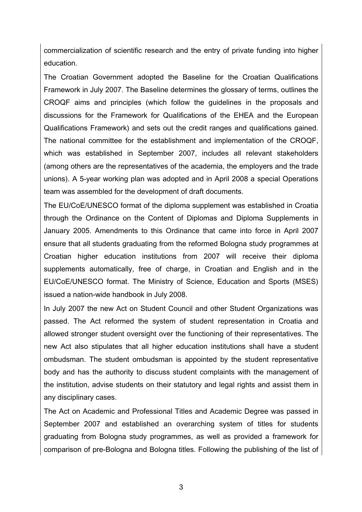commercialization of scientific research and the entry of private funding into higher education.

The Croatian Government adopted the Baseline for the Croatian Qualifications Framework in July 2007. The Baseline determines the glossary of terms, outlines the CROQF aims and principles (which follow the guidelines in the proposals and discussions for the Framework for Qualifications of the EHEA and the European Qualifications Framework) and sets out the credit ranges and qualifications gained. The national committee for the establishment and implementation of the CROQF, which was established in September 2007, includes all relevant stakeholders (among others are the representatives of the academia, the employers and the trade unions). A 5-year working plan was adopted and in April 2008 a special Operations team was assembled for the development of draft documents.

The EU/CoE/UNESCO format of the diploma supplement was established in Croatia through the Ordinance on the Content of Diplomas and Diploma Supplements in January 2005. Amendments to this Ordinance that came into force in April 2007 ensure that all students graduating from the reformed Bologna study programmes at Croatian higher education institutions from 2007 will receive their diploma supplements automatically, free of charge, in Croatian and English and in the EU/CoE/UNESCO format. The Ministry of Science, Education and Sports (MSES) issued a nation-wide handbook in July 2008.

In July 2007 the new Act on Student Council and other Student Organizations was passed. The Act reformed the system of student representation in Croatia and allowed stronger student oversight over the functioning of their representatives. The new Act also stipulates that all higher education institutions shall have a student ombudsman. The student ombudsman is appointed by the student representative body and has the authority to discuss student complaints with the management of the institution, advise students on their statutory and legal rights and assist them in any disciplinary cases.

The Act on Academic and Professional Titles and Academic Degree was passed in September 2007 and established an overarching system of titles for students graduating from Bologna study programmes, as well as provided a framework for comparison of pre-Bologna and Bologna titles. Following the publishing of the list of

3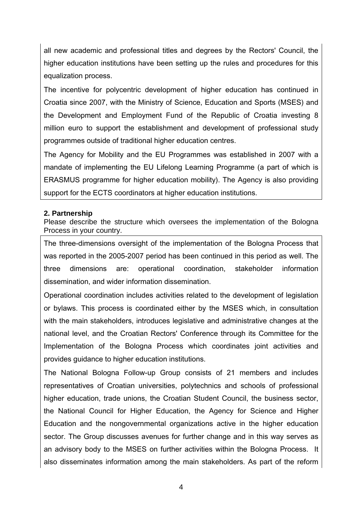all new academic and professional titles and degrees by the Rectors' Council, the higher education institutions have been setting up the rules and procedures for this equalization process.

The incentive for polycentric development of higher education has continued in Croatia since 2007, with the Ministry of Science, Education and Sports (MSES) and the Development and Employment Fund of the Republic of Croatia investing 8 million euro to support the establishment and development of professional study programmes outside of traditional higher education centres.

The Agency for Mobility and the EU Programmes was established in 2007 with a mandate of implementing the EU Lifelong Learning Programme (a part of which is ERASMUS programme for higher education mobility). The Agency is also providing support for the ECTS coordinators at higher education institutions.

#### **2. Partnership**

Please describe the structure which oversees the implementation of the Bologna Process in your country.

The three-dimensions oversight of the implementation of the Bologna Process that was reported in the 2005-2007 period has been continued in this period as well. The three dimensions are: operational coordination, stakeholder information dissemination, and wider information dissemination.

Operational coordination includes activities related to the development of legislation or bylaws. This process is coordinated either by the MSES which, in consultation with the main stakeholders, introduces legislative and administrative changes at the national level, and the Croatian Rectors' Conference through its Committee for the Implementation of the Bologna Process which coordinates joint activities and provides guidance to higher education institutions.

The National Bologna Follow-up Group consists of 21 members and includes representatives of Croatian universities, polytechnics and schools of professional higher education, trade unions, the Croatian Student Council, the business sector, the National Council for Higher Education, the Agency for Science and Higher Education and the nongovernmental organizations active in the higher education sector. The Group discusses avenues for further change and in this way serves as an advisory body to the MSES on further activities within the Bologna Process. It also disseminates information among the main stakeholders. As part of the reform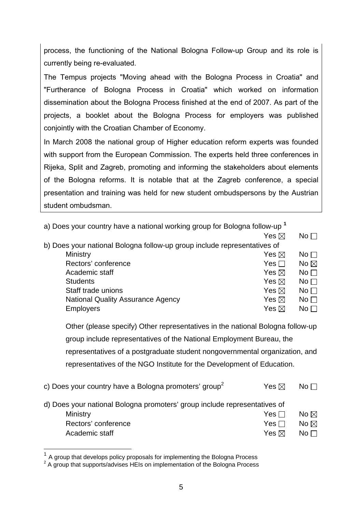process, the functioning of the National Bologna Follow-up Group and its role is currently being re-evaluated.

The Tempus projects "Moving ahead with the Bologna Process in Croatia" and "Furtherance of Bologna Process in Croatia" which worked on information dissemination about the Bologna Process finished at the end of 2007. As part of the projects, a booklet about the Bologna Process for employers was published conjointly with the Croatian Chamber of Economy.

In March 2008 the national group of Higher education reform experts was founded with support from the European Commission. The experts held three conferences in Rijeka, Split and Zagreb, promoting and informing the stakeholders about elements of the Bologna reforms. It is notable that at the Zagreb conference, a special presentation and training was held for new student ombudspersons by the Austrian student ombudsman.

| a) Does your country have a national working group for Bologna follow-up <sup>1</sup> |                 |                 |
|---------------------------------------------------------------------------------------|-----------------|-----------------|
|                                                                                       | Yes $\boxtimes$ | No <sub>1</sub> |
| b) Does your national Bologna follow-up group include representatives of              |                 |                 |
| Ministry                                                                              | Yes $\boxtimes$ | $No \Box$       |
| Rectors' conference                                                                   | Yes $\Box$      | No $\boxtimes$  |
| Academic staff                                                                        | Yes $\boxtimes$ | No <sub>1</sub> |
| <b>Students</b>                                                                       | Yes $\boxtimes$ | No <sub>1</sub> |
| Staff trade unions                                                                    | Yes $\boxtimes$ | $No \square$    |
| <b>National Quality Assurance Agency</b>                                              | Yes $\boxtimes$ | No <sub>1</sub> |
| <b>Employers</b>                                                                      | Yes $\boxtimes$ | $No \Box$       |
|                                                                                       |                 |                 |

Other (please specify) Other representatives in the national Bologna follow-up group include representatives of the National Employment Bureau, the representatives of a postgraduate student nongovernmental organization, and representatives of the NGO Institute for the Development of Education.

| c) Does your country have a Bologna promoters' group <sup>2</sup>         | Yes $\boxtimes$ | $No \Box$       |
|---------------------------------------------------------------------------|-----------------|-----------------|
| d) Does your national Bologna promoters' group include representatives of |                 |                 |
| Ministry                                                                  | Yes $\Box$      | No $\boxtimes$  |
| Rectors' conference                                                       | Yes $\Box$      | No $\boxtimes$  |
| Academic staff                                                            | Yes $\boxtimes$ | No <sub>1</sub> |

 $\overline{a}$ 

 $1$  A group that develops policy proposals for implementing the Bologna Process

 $2$  A group that supports/advises HEIs on implementation of the Bologna Process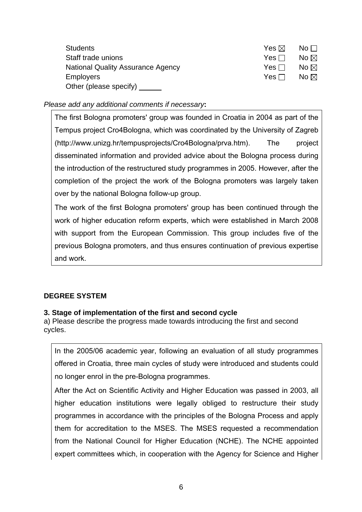| <b>Students</b>                          | Yes $\boxtimes$ | $\overline{\mathsf{No}}$ $\Box$ |
|------------------------------------------|-----------------|---------------------------------|
| Staff trade unions                       | Yes ⊟           | No $\boxtimes$                  |
| <b>National Quality Assurance Agency</b> | Yes $\Box$      | No $\boxtimes$                  |
| <b>Employers</b>                         | Yes ⊟           | No $\boxtimes$                  |
| Other (please specify)                   |                 |                                 |

*Please add any additional comments if necessary***:** 

The first Bologna promoters' group was founded in Croatia in 2004 as part of the Tempus project Cro4Bologna, which was coordinated by the University of Zagreb (http://www.unizg.hr/tempusprojects/Cro4Bologna/prva.htm). The project disseminated information and provided advice about the Bologna process during the introduction of the restructured study programmes in 2005. However, after the completion of the project the work of the Bologna promoters was largely taken over by the national Bologna follow-up group.

The work of the first Bologna promoters' group has been continued through the work of higher education reform experts, which were established in March 2008 with support from the European Commission. This group includes five of the previous Bologna promoters, and thus ensures continuation of previous expertise and work.

## **DEGREE SYSTEM**

#### **3. Stage of implementation of the first and second cycle**

a) Please describe the progress made towards introducing the first and second cycles.

In the 2005/06 academic year, following an evaluation of all study programmes offered in Croatia, three main cycles of study were introduced and students could no longer enrol in the pre-Bologna programmes.

After the Act on Scientific Activity and Higher Education was passed in 2003, all higher education institutions were legally obliged to restructure their study programmes in accordance with the principles of the Bologna Process and apply them for accreditation to the MSES. The MSES requested a recommendation from the National Council for Higher Education (NCHE). The NCHE appointed expert committees which, in cooperation with the Agency for Science and Higher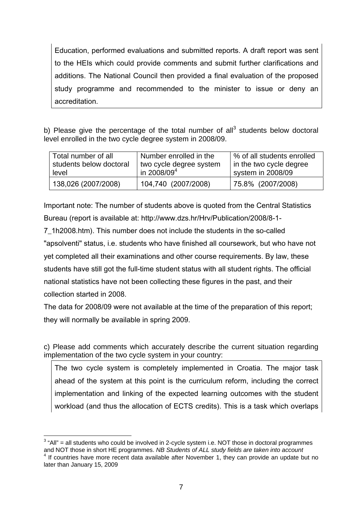Education, performed evaluations and submitted reports. A draft report was sent to the HEIs which could provide comments and submit further clarifications and additions. The National Council then provided a final evaluation of the proposed study programme and recommended to the minister to issue or deny an accreditation.

b) Please give the percentage of the total number of all<sup>3</sup> students below doctoral level enrolled in the two cycle degree system in 2008/09.

| Total number of all     | Number enrolled in the  | % of all students enrolled |
|-------------------------|-------------------------|----------------------------|
| students below doctoral | two cycle degree system | in the two cycle degree    |
| level                   | in 2008/09 <sup>4</sup> | system in 2008/09          |
| 138,026 (2007/2008)     | 104,740 (2007/2008)     | 75.8% (2007/2008)          |

Important note: The number of students above is quoted from the Central Statistics Bureau (report is available at: http://www.dzs.hr/Hrv/Publication/2008/8-1-

7\_1h2008.htm). This number does not include the students in the so-called "apsolventi" status, i.e. students who have finished all coursework, but who have not yet completed all their examinations and other course requirements. By law, these students have still got the full-time student status with all student rights. The official national statistics have not been collecting these figures in the past, and their collection started in 2008.

The data for 2008/09 were not available at the time of the preparation of this report; they will normally be available in spring 2009.

c) Please add comments which accurately describe the current situation regarding implementation of the two cycle system in your country:

The two cycle system is completely implemented in Croatia. The major task ahead of the system at this point is the curriculum reform, including the correct implementation and linking of the expected learning outcomes with the student workload (and thus the allocation of ECTS credits). This is a task which overlaps

 $\overline{a}$ 

 $3$  "All" = all students who could be involved in 2-cycle system i.e. NOT those in doctoral programmes and NOT those in short HE programmes. *NB Students of ALL study fields are taken into account* <sup>4</sup> If countries have more recent data available after November 1, they can provide an update but no later than January 15, 2009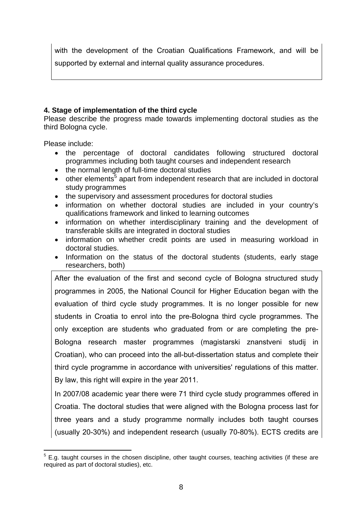with the development of the Croatian Qualifications Framework, and will be supported by external and internal quality assurance procedures.

# **4. Stage of implementation of the third cycle**

Please describe the progress made towards implementing doctoral studies as the third Bologna cycle.

Please include:

- the percentage of doctoral candidates following structured doctoral programmes including both taught courses and independent research
- the normal length of full-time doctoral studies
- $\bullet$  other elements<sup>5</sup> apart from independent research that are included in doctoral study programmes
- the supervisory and assessment procedures for doctoral studies
- information on whether doctoral studies are included in your country's qualifications framework and linked to learning outcomes
- information on whether interdisciplinary training and the development of transferable skills are integrated in doctoral studies
- information on whether credit points are used in measuring workload in doctoral studies.
- Information on the status of the doctoral students (students, early stage researchers, both)

After the evaluation of the first and second cycle of Bologna structured study programmes in 2005, the National Council for Higher Education began with the evaluation of third cycle study programmes. It is no longer possible for new students in Croatia to enrol into the pre-Bologna third cycle programmes. The only exception are students who graduated from or are completing the pre-Bologna research master programmes (magistarski znanstveni studij in Croatian), who can proceed into the all-but-dissertation status and complete their third cycle programme in accordance with universities' regulations of this matter. By law, this right will expire in the year 2011.

In 2007/08 academic year there were 71 third cycle study programmes offered in Croatia. The doctoral studies that were aligned with the Bologna process last for three years and a study programme normally includes both taught courses (usually 20-30%) and independent research (usually 70-80%). ECTS credits are

 $\overline{a}$  $5$  E.g. taught courses in the chosen discipline, other taught courses, teaching activities (if these are required as part of doctoral studies), etc.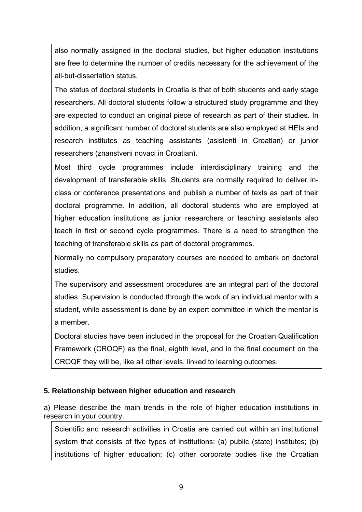also normally assigned in the doctoral studies, but higher education institutions are free to determine the number of credits necessary for the achievement of the all-but-dissertation status.

The status of doctoral students in Croatia is that of both students and early stage researchers. All doctoral students follow a structured study programme and they are expected to conduct an original piece of research as part of their studies. In addition, a significant number of doctoral students are also employed at HEIs and research institutes as teaching assistants (asistenti in Croatian) or junior researchers (znanstveni novaci in Croatian).

Most third cycle programmes include interdisciplinary training and the development of transferable skills. Students are normally required to deliver inclass or conference presentations and publish a number of texts as part of their doctoral programme. In addition, all doctoral students who are employed at higher education institutions as junior researchers or teaching assistants also teach in first or second cycle programmes. There is a need to strengthen the teaching of transferable skills as part of doctoral programmes.

Normally no compulsory preparatory courses are needed to embark on doctoral studies.

The supervisory and assessment procedures are an integral part of the doctoral studies. Supervision is conducted through the work of an individual mentor with a student, while assessment is done by an expert committee in which the mentor is a member.

Doctoral studies have been included in the proposal for the Croatian Qualification Framework (CROQF) as the final, eighth level, and in the final document on the CROQF they will be, like all other levels, linked to learning outcomes.

#### **5. Relationship between higher education and research**

a) Please describe the main trends in the role of higher education institutions in research in your country.

Scientific and research activities in Croatia are carried out within an institutional system that consists of five types of institutions: (a) public (state) institutes; (b) institutions of higher education; (c) other corporate bodies like the Croatian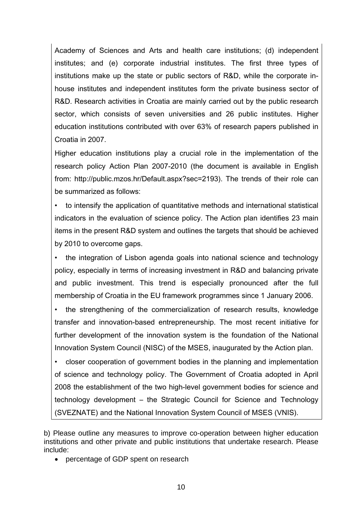Academy of Sciences and Arts and health care institutions; (d) independent institutes; and (e) corporate industrial institutes. The first three types of institutions make up the state or public sectors of R&D, while the corporate inhouse institutes and independent institutes form the private business sector of R&D. Research activities in Croatia are mainly carried out by the public research sector, which consists of seven universities and 26 public institutes. Higher education institutions contributed with over 63% of research papers published in Croatia in 2007.

Higher education institutions play a crucial role in the implementation of the research policy Action Plan 2007-2010 (the document is available in English from: http://public.mzos.hr/Default.aspx?sec=2193). The trends of their role can be summarized as follows:

• to intensify the application of quantitative methods and international statistical indicators in the evaluation of science policy. The Action plan identifies 23 main items in the present R&D system and outlines the targets that should be achieved by 2010 to overcome gaps.

• the integration of Lisbon agenda goals into national science and technology policy, especially in terms of increasing investment in R&D and balancing private and public investment. This trend is especially pronounced after the full membership of Croatia in the EU framework programmes since 1 January 2006.

• the strengthening of the commercialization of research results, knowledge transfer and innovation-based entrepreneurship. The most recent initiative for further development of the innovation system is the foundation of the National Innovation System Council (NISC) of the MSES, inaugurated by the Action plan.

• closer cooperation of government bodies in the planning and implementation of science and technology policy. The Government of Croatia adopted in April 2008 the establishment of the two high-level government bodies for science and technology development – the Strategic Council for Science and Technology (SVEZNATE) and the National Innovation System Council of MSES (VNIS).

b) Please outline any measures to improve co-operation between higher education institutions and other private and public institutions that undertake research. Please include:

• percentage of GDP spent on research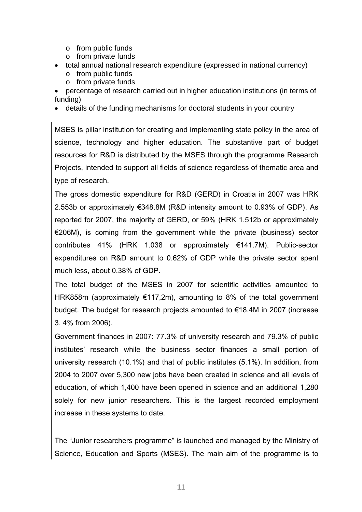- o from public funds
- o from private funds
- total annual national research expenditure (expressed in national currency)
	- o from public funds
	- o from private funds
- percentage of research carried out in higher education institutions (in terms of funding)
- details of the funding mechanisms for doctoral students in your country

MSES is pillar institution for creating and implementing state policy in the area of science, technology and higher education. The substantive part of budget resources for R&D is distributed by the MSES through the programme Research Projects, intended to support all fields of science regardless of thematic area and type of research.

The gross domestic expenditure for R&D (GERD) in Croatia in 2007 was HRK 2.553b or approximately €348.8M (R&D intensity amount to 0.93% of GDP). As reported for 2007, the majority of GERD, or 59% (HRK 1.512b or approximately €206M), is coming from the government while the private (business) sector contributes 41% (HRK 1.038 or approximately €141.7M). Public-sector expenditures on R&D amount to 0.62% of GDP while the private sector spent much less, about 0.38% of GDP.

The total budget of the MSES in 2007 for scientific activities amounted to HRK858m (approximately €117,2m), amounting to 8% of the total government budget. The budget for research projects amounted to €18.4M in 2007 (increase 3, 4% from 2006).

Government finances in 2007: 77.3% of university research and 79.3% of public institutes' research while the business sector finances a small portion of university research (10.1%) and that of public institutes (5.1%). In addition, from 2004 to 2007 over 5,300 new jobs have been created in science and all levels of education, of which 1,400 have been opened in science and an additional 1,280 solely for new junior researchers. This is the largest recorded employment increase in these systems to date.

The "Junior researchers programme" is launched and managed by the Ministry of Science, Education and Sports (MSES). The main aim of the programme is to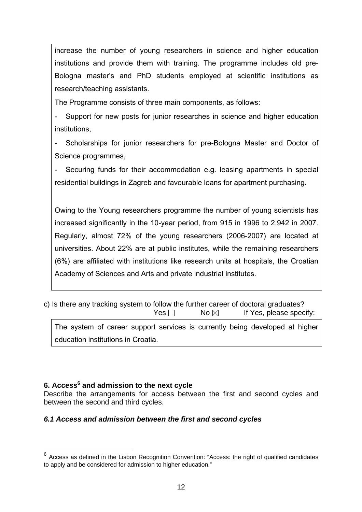increase the number of young researchers in science and higher education institutions and provide them with training. The programme includes old pre-Bologna master's and PhD students employed at scientific institutions as research/teaching assistants.

The Programme consists of three main components, as follows:

Support for new posts for junior researches in science and higher education institutions,

Scholarships for junior researchers for pre-Bologna Master and Doctor of Science programmes,

Securing funds for their accommodation e.g. leasing apartments in special residential buildings in Zagreb and favourable loans for apartment purchasing.

Owing to the Young researchers programme the number of young scientists has increased significantly in the 10-year period, from 915 in 1996 to 2,942 in 2007. Regularly, almost 72% of the young researchers (2006-2007) are located at universities. About 22% are at public institutes, while the remaining researchers (6%) are affiliated with institutions like research units at hospitals, the Croatian Academy of Sciences and Arts and private industrial institutes.

c) Is there any tracking system to follow the further career of doctoral graduates?  $Yes \Box$  No  $\boxtimes$  If Yes, please specify: The system of career support services is currently being developed at higher

education institutions in Croatia.

 $\overline{a}$ 

# **6. Access<sup>6</sup> and admission to the next cycle**

Describe the arrangements for access between the first and second cycles and between the second and third cycles.

## *6.1 Access and admission between the first and second cycles*

 $6$  Access as defined in the Lisbon Recognition Convention: "Access: the right of qualified candidates to apply and be considered for admission to higher education."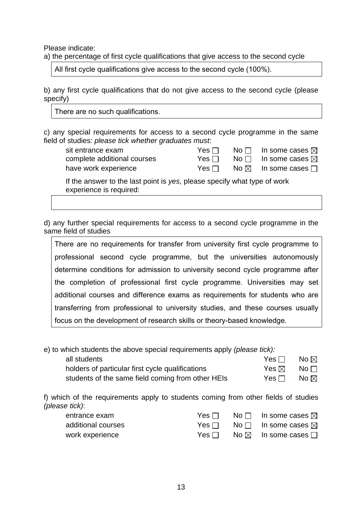Please indicate:

a) the percentage of first cycle qualifications that give access to the second cycle

All first cycle qualifications give access to the second cycle (100%).

b) any first cycle qualifications that do not give access to the second cycle (please specify)

There are no such qualifications.

c) any special requirements for access to a second cycle programme in the same field of studies: *please tick whether graduates must*:

| sit entrance exam                                                        | Yes $\Box$ | $N$ o $\Box$ | In some cases $\boxtimes$           |
|--------------------------------------------------------------------------|------------|--------------|-------------------------------------|
| complete additional courses                                              | Yes $\Box$ | No $\Box$    | In some cases $\boxtimes$           |
| have work experience                                                     | Yes $\Box$ |              | No $\boxtimes$ In some cases $\Box$ |
| If the answer to the last point is yes, please specify what type of work |            |              |                                     |

experience is required:

d) any further special requirements for access to a second cycle programme in the same field of studies

There are no requirements for transfer from university first cycle programme to professional second cycle programme, but the universities autonomously determine conditions for admission to university second cycle programme after the completion of professional first cycle programme. Universities may set additional courses and difference exams as requirements for students who are transferring from professional to university studies, and these courses usually focus on the development of research skills or theory-based knowledge.

e) to which students the above special requirements apply *(please tick):*

| all students                                      | Yes □                                        | No $\boxtimes$ |
|---------------------------------------------------|----------------------------------------------|----------------|
| holders of particular first cycle qualifications  | $\mathsf{Yes} \boxtimes \mathsf{No} \square$ |                |
| students of the same field coming from other HEIs | Yes ⊟_                                       | No $\boxtimes$ |

f) which of the requirements apply to students coming from other fields of studies *(please tick)*:

| entrance exam      | Yes ⊟      | No $\Box$ In some cases $\boxtimes$                 |
|--------------------|------------|-----------------------------------------------------|
| additional courses | Yes        | No $\Box$ In some cases $\boxtimes$                 |
| work experience    | Yes $\Box$ | $\mathsf{No}\boxtimes\mathsf{In}$ some cases $\Box$ |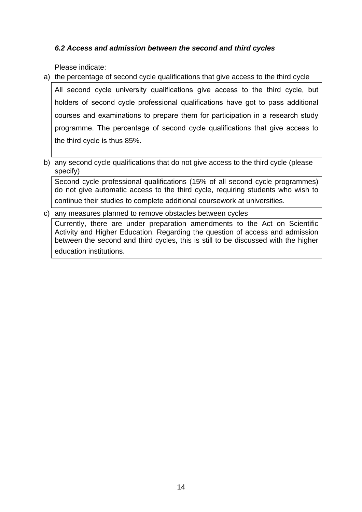## *6.2 Access and admission between the second and third cycles*

Please indicate:

a) the percentage of second cycle qualifications that give access to the third cycle

All second cycle university qualifications give access to the third cycle, but holders of second cycle professional qualifications have got to pass additional courses and examinations to prepare them for participation in a research study programme. The percentage of second cycle qualifications that give access to the third cycle is thus 85%.

b) any second cycle qualifications that do not give access to the third cycle (please specify)

Second cycle professional qualifications (15% of all second cycle programmes) do not give automatic access to the third cycle, requiring students who wish to continue their studies to complete additional coursework at universities.

c) any measures planned to remove obstacles between cycles

Currently, there are under preparation amendments to the Act on Scientific Activity and Higher Education. Regarding the question of access and admission between the second and third cycles, this is still to be discussed with the higher education institutions.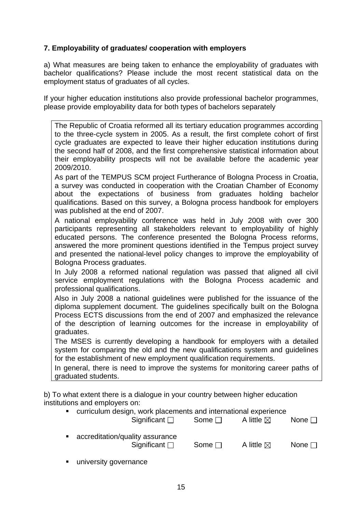## **7. Employability of graduates/ cooperation with employers**

a) What measures are being taken to enhance the employability of graduates with bachelor qualifications? Please include the most recent statistical data on the employment status of graduates of all cycles.

If your higher education institutions also provide professional bachelor programmes, please provide employability data for both types of bachelors separately

The Republic of Croatia reformed all its tertiary education programmes according to the three-cycle system in 2005. As a result, the first complete cohort of first cycle graduates are expected to leave their higher education institutions during the second half of 2008, and the first comprehensive statistical information about their employability prospects will not be available before the academic year 2009/2010.

As part of the TEMPUS SCM project Furtherance of Bologna Process in Croatia, a survey was conducted in cooperation with the Croatian Chamber of Economy about the expectations of business from graduates holding bachelor qualifications. Based on this survey, a Bologna process handbook for employers was published at the end of 2007.

A national employability conference was held in July 2008 with over 300 participants representing all stakeholders relevant to employability of highly educated persons. The conference presented the Bologna Process reforms, answered the more prominent questions identified in the Tempus project survey and presented the national-level policy changes to improve the employability of Bologna Process graduates.

In July 2008 a reformed national regulation was passed that aligned all civil service employment regulations with the Bologna Process academic and professional qualifications.

Also in July 2008 a national guidelines were published for the issuance of the diploma supplement document. The guidelines specifically built on the Bologna Process ECTS discussions from the end of 2007 and emphasized the relevance of the description of learning outcomes for the increase in employability of graduates.

The MSES is currently developing a handbook for employers with a detailed system for comparing the old and the new qualifications system and guidelines for the establishment of new employment qualification requirements.

In general, there is need to improve the systems for monitoring career paths of graduated students.

b) To what extent there is a dialogue in your country between higher education institutions and employers on:

 curriculum design, work placements and international experience Significant  $\Box$  Some  $\Box$  A little  $\boxtimes$  None  $\Box$ 

| ■ accreditation/quality assurance<br>Significant $\square$ | Some $\Box$ | A little $\boxtimes$ | None $\Box$ |
|------------------------------------------------------------|-------------|----------------------|-------------|

university governance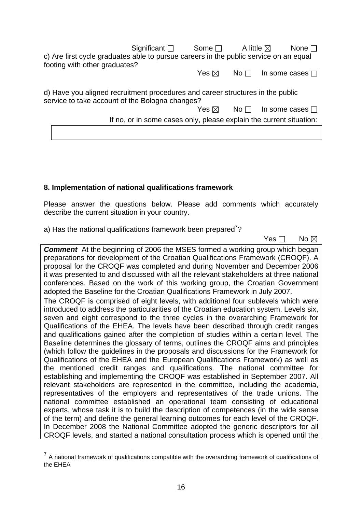Significant  $\Box$  Some  $\Box$  A little  $\boxtimes$  None  $\Box$ c) Are first cycle graduates able to pursue careers in the public service on an equal footing with other graduates?

Yes  $\boxtimes$  No  $\Box$  In some cases  $\Box$ 

d) Have you aligned recruitment procedures and career structures in the public service to take account of the Bologna changes?

Yes  $\boxtimes$  No  $\Box$  In some cases  $\Box$ 

If no, or in some cases only, please explain the current situation:

### **8. Implementation of national qualifications framework**

Please answer the questions below. Please add comments which accurately describe the current situation in your country.

a) Has the national qualifications framework been prepared<sup>7</sup>?

No and the set of the set of the SNo and the SNo and the No and the No and the No and the No and the No and the No

**Comment** At the beginning of 2006 the MSES formed a working group which began preparations for development of the Croatian Qualifications Framework (CROQF). A proposal for the CROQF was completed and during November and December 2006 it was presented to and discussed with all the relevant stakeholders at three national conferences. Based on the work of this working group, the Croatian Government adopted the Baseline for the Croatian Qualifications Framework in July 2007.

The CROQF is comprised of eight levels, with additional four sublevels which were introduced to address the particularities of the Croatian education system. Levels six, seven and eight correspond to the three cycles in the overarching Framework for Qualifications of the EHEA. The levels have been described through credit ranges and qualifications gained after the completion of studies within a certain level. The Baseline determines the glossary of terms, outlines the CROQF aims and principles (which follow the guidelines in the proposals and discussions for the Framework for Qualifications of the EHEA and the European Qualifications Framework) as well as the mentioned credit ranges and qualifications. The national committee for establishing and implementing the CROQF was established in September 2007. All relevant stakeholders are represented in the committee, including the academia, representatives of the employers and representatives of the trade unions. The national committee established an operational team consisting of educational experts, whose task it is to build the description of competences (in the wide sense of the term) and define the general learning outcomes for each level of the CROQF. In December 2008 the National Committee adopted the generic descriptors for all CROQF levels, and started a national consultation process which is opened until the

 $\overline{a}$ 

 $<sup>7</sup>$  A national framework of qualifications compatible with the overarching framework of qualifications of</sup> the EHEA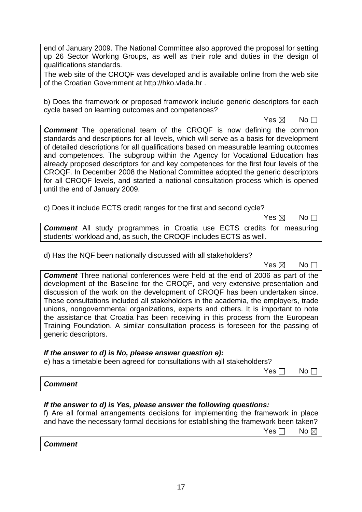end of January 2009. The National Committee also approved the proposal for setting up 26 Sector Working Groups, as well as their role and duties in the design of qualifications standards.

The web site of the CROQF was developed and is available online from the web site of the Croatian Government at http://hko.vlada.hr .

b) Does the framework or proposed framework include generic descriptors for each cycle based on learning outcomes and competences?

 $\mathsf{Yes} \boxtimes \mathsf{No}$ 

**Comment** The operational team of the CROQF is now defining the common standards and descriptions for all levels, which will serve as a basis for development of detailed descriptions for all qualifications based on measurable learning outcomes and competences. The subgroup within the Agency for Vocational Education has already proposed descriptors for and key competences for the first four levels of the CROQF. In December 2008 the National Committee adopted the generic descriptors for all CROQF levels, and started a national consultation process which is opened until the end of January 2009.

c) Does it include ECTS credit ranges for the first and second cycle?

 $\mathsf{Yes} \boxtimes \mathsf{No}$ 

*Comment* All study programmes in Croatia use ECTS credits for measuring students' workload and, as such, the CROQF includes ECTS as well.

d) Has the NQF been nationally discussed with all stakeholders?

 $\mathsf{Yes} \boxtimes \mathsf{No}$ 

*Comment* Three national conferences were held at the end of 2006 as part of the development of the Baseline for the CROQF, and very extensive presentation and discussion of the work on the development of CROQF has been undertaken since. These consultations included all stakeholders in the academia, the employers, trade unions, nongovernmental organizations, experts and others. It is important to note the assistance that Croatia has been receiving in this process from the European Training Foundation. A similar consultation process is foreseen for the passing of generic descriptors.

## *If the answer to d) is No, please answer question e):*

e) has a timetable been agreed for consultations with all stakeholders?

No and the state of the state of the North State of the North State of the North State of the North State of the No

#### *Comment*

## *If the answer to d) is Yes, please answer the following questions:*

f) Are all formal arrangements decisions for implementing the framework in place and have the necessary formal decisions for establishing the framework been taken?

No and the set of the set of the SNo and the SNo and the No and the No and the No and the No and the No and the No

## *Comment*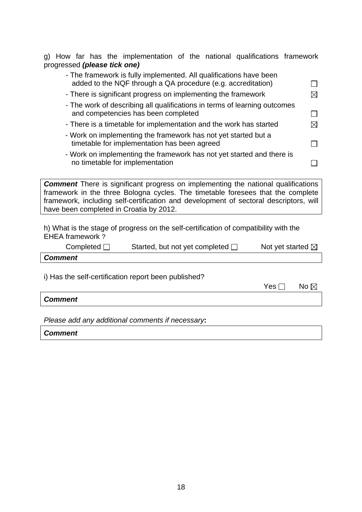g) How far has the implementation of the national qualifications framework progressed *(please tick one)*

| - The framework is fully implemented. All qualifications have been<br>added to the NQF through a QA procedure (e.g. accreditation) |             |
|------------------------------------------------------------------------------------------------------------------------------------|-------------|
| - There is significant progress on implementing the framework                                                                      | $\boxtimes$ |
| - The work of describing all qualifications in terms of learning outcomes<br>and competencies has been completed                   |             |
| - There is a timetable for implementation and the work has started                                                                 | $\bowtie$   |
| - Work on implementing the framework has not yet started but a<br>timetable for implementation has been agreed                     |             |
| - Work on implementing the framework has not yet started and there is<br>no timetable for implementation                           |             |

**Comment** There is significant progress on implementing the national qualifications framework in the three Bologna cycles. The timetable foresees that the complete framework, including self-certification and development of sectoral descriptors, will have been completed in Croatia by 2012.

h) What is the stage of progress on the self-certification of compatibility with the EHEA framework ?

| Completed $\Box$ | Started, but not yet completed $\square$ | Not yet started $\boxtimes$ |
|------------------|------------------------------------------|-----------------------------|
|------------------|------------------------------------------|-----------------------------|

|  | i) Has the self-certification report been published? |  |  |
|--|------------------------------------------------------|--|--|

| Yes $\Box$ | No $\boxtimes$ |
|------------|----------------|
|------------|----------------|

*Comment*

*Comment*

*Please add any additional comments if necessary***:** 

*Comment*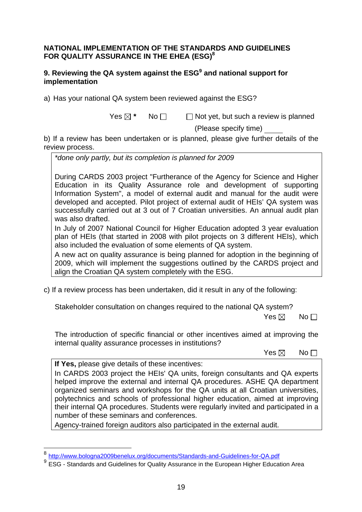### **NATIONAL IMPLEMENTATION OF THE STANDARDS AND GUIDELINES FOR QUALITY ASSURANCE IN THE EHEA (ESG)8**

## **9. Reviewing the QA system against the ESG<sup>9</sup> and national support for implementation**

a) Has your national QA system been reviewed against the ESG?

 $Yes \boxtimes * \cong No \square \square$  Not yet, but such a review is planned

(Please specify time)

b) If a review has been undertaken or is planned, please give further details of the review process.

*\*done only partly, but its completion is planned for 2009* 

During CARDS 2003 project "Furtherance of the Agency for Science and Higher Education in its Quality Assurance role and development of supporting Information System", a model of external audit and manual for the audit were developed and accepted. Pilot project of external audit of HEIs' QA system was successfully carried out at 3 out of 7 Croatian universities. An annual audit plan was also drafted.

In July of 2007 National Council for Higher Education adopted 3 year evaluation plan of HEIs (that started in 2008 with pilot projects on 3 different HEIs), which also included the evaluation of some elements of QA system.

A new act on quality assurance is being planned for adoption in the beginning of 2009, which will implement the suggestions outlined by the CARDS project and align the Croatian QA system completely with the ESG.

c) If a review process has been undertaken, did it result in any of the following:

Stakeholder consultation on changes required to the national QA system?

 $\mathsf{Yes} \boxtimes \mathsf{No}$ 

The introduction of specific financial or other incentives aimed at improving the internal quality assurance processes in institutions?

 $\mathsf{Yes} \boxtimes \mathsf{No}$ 

**If Yes,** please give details of these incentives:

 $\overline{a}$ 

In CARDS 2003 project the HEIs' QA units, foreign consultants and QA experts helped improve the external and internal QA procedures. ASHE QA department organized seminars and workshops for the QA units at all Croatian universities, polytechnics and schools of professional higher education, aimed at improving their internal QA procedures. Students were regularly invited and participated in a number of these seminars and conferences.

Agency-trained foreign auditors also participated in the external audit.

<sup>&</sup>lt;sup>8</sup> http://www.bologna2009benelux.org/documents/Standards-and-Guidelines-for-QA.pdf<br><sup>9</sup> ESG - Standards and Guidelines for Quality Assurance in the European Higher Education Area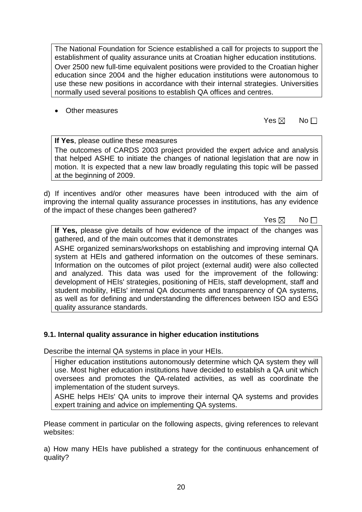The National Foundation for Science established a call for projects to support the establishment of quality assurance units at Croatian higher education institutions. Over 2500 new full-time equivalent positions were provided to the Croatian higher education since 2004 and the higher education institutions were autonomous to use these new positions in accordance with their internal strategies. Universities normally used several positions to establish QA offices and centres.

• Other measures

 $\mathsf{Yes} \boxtimes \mathsf{No}$ 

**If Yes**, please outline these measures The outcomes of CARDS 2003 project provided the expert advice and analysis that helped ASHE to initiate the changes of national legislation that are now in motion. It is expected that a new law broadly regulating this topic will be passed at the beginning of 2009.

d) If incentives and/or other measures have been introduced with the aim of improving the internal quality assurance processes in institutions, has any evidence of the impact of these changes been gathered?

 $\mathsf{Yes} \boxtimes \mathsf{No}$ 

**If Yes,** please give details of how evidence of the impact of the changes was gathered, and of the main outcomes that it demonstrates

ASHE organized seminars/workshops on establishing and improving internal QA system at HEIs and gathered information on the outcomes of these seminars. Information on the outcomes of pilot project (external audit) were also collected and analyzed. This data was used for the improvement of the following: development of HEIs' strategies, positioning of HEIs, staff development, staff and student mobility, HEIs' internal QA documents and transparency of QA systems, as well as for defining and understanding the differences between ISO and ESG quality assurance standards.

## **9.1. Internal quality assurance in higher education institutions**

Describe the internal QA systems in place in your HEIs.

Higher education institutions autonomously determine which QA system they will use. Most higher education institutions have decided to establish a QA unit which oversees and promotes the QA-related activities, as well as coordinate the implementation of the student surveys.

ASHE helps HEIs' QA units to improve their internal QA systems and provides expert training and advice on implementing QA systems.

Please comment in particular on the following aspects, giving references to relevant websites:

a) How many HEIs have published a strategy for the continuous enhancement of quality?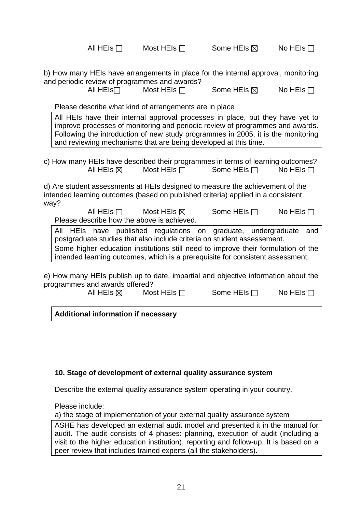All HEIs  $\Box$  Most HEIs  $\Box$  Some HEIs  $\boxtimes$  No HEIs  $\Box$ 

b) How many HEIs have arrangements in place for the internal approval, monitoring and periodic review of programmes and awards?

All HEIs**□** Most HEIs □ Some HEIs ⊠ No HEIs □

Please describe what kind of arrangements are in place

All HEIs have their internal approval processes in place, but they have yet to improve processes of monitoring and periodic review of programmes and awards. Following the introduction of new study programmes in 2005, it is the monitoring and reviewing mechanisms that are being developed at this time.

c) How many HEIs have described their programmes in terms of learning outcomes? All HEIs  $\boxtimes$  Most HEIs  $\Box$  Some HEIs  $\Box$  No HEIs  $\Box$ 

d) Are student assessments at HEIs designed to measure the achievement of the intended learning outcomes (based on published criteria) applied in a consistent way?

All HEIs  $\Box$  Most HEIs  $\boxtimes$  Some HEIs  $\Box$  No HEIs  $\Box$ Please describe how the above is achieved.

All HEIs have published regulations on graduate, undergraduate and postgraduate studies that also include criteria on student assessement. Some higher education institutions still need to improve their formulation of the intended learning outcomes, which is a prerequisite for consistent assessment.

e) How many HEIs publish up to date, impartial and objective information about the programmes and awards offered?

All HEIs  $\boxtimes$  Most HEIs  $\Box$  Some HEIs  $\Box$  No HEIs  $\Box$ 

**Additional information if necessary**

## **10. Stage of development of external quality assurance system**

Describe the external quality assurance system operating in your country.

Please include:

a) the stage of implementation of your external quality assurance system

ASHE has developed an external audit model and presented it in the manual for audit. The audit consists of 4 phases: planning, execution of audit (including a visit to the higher education institution), reporting and follow-up. It is based on a peer review that includes trained experts (all the stakeholders).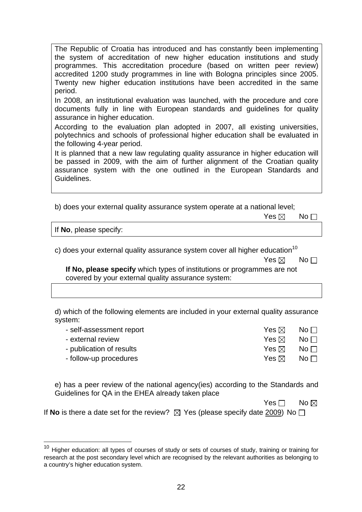The Republic of Croatia has introduced and has constantly been implementing the system of accreditation of new higher education institutions and study programmes. This accreditation procedure (based on written peer review) accredited 1200 study programmes in line with Bologna principles since 2005. Twenty new higher education institutions have been accredited in the same period.

In 2008, an institutional evaluation was launched, with the procedure and core documents fully in line with European standards and guidelines for quality assurance in higher education.

According to the evaluation plan adopted in 2007, all existing universities, polytechnics and schools of professional higher education shall be evaluated in the following 4-year period.

It is planned that a new law regulating quality assurance in higher education will be passed in 2009, with the aim of further alignment of the Croatian quality assurance system with the one outlined in the European Standards and Guidelines.

b) does your external quality assurance system operate at a national level;

|  | Yes $\boxtimes$ No $\Box$ |  |
|--|---------------------------|--|
|--|---------------------------|--|

If **No**, please specify:

 $\overline{a}$ 

c) does your external quality assurance system cover all higher education<sup>10</sup>

| Yes $\boxtimes$ No $\Box$ |  |
|---------------------------|--|
|                           |  |

**If No, please specify** which types of institutions or programmes are not covered by your external quality assurance system:

d) which of the following elements are included in your external quality assurance system:

| - self-assessment report | Yes ⊠           | No $\Box$ |
|--------------------------|-----------------|-----------|
| - external review        | Yes $\boxtimes$ | No $\Box$ |
| - publication of results | Yes ⊠           | $No \Box$ |
| - follow-up procedures   | Yes ⊠ ¦         | No $\Box$ |

e) has a peer review of the national agency(ies) according to the Standards and Guidelines for QA in the EHEA already taken place

No and the state of the SNo. No and the SNo. No and the SNo. No and the No and the No and the No and the No and the No

If **No** is there a date set for the review?  $\boxtimes$  Yes (please specify date 2009) No  $\Box$ 

 $10$  Higher education: all types of courses of study or sets of courses of study, training or training for research at the post secondary level which are recognised by the relevant authorities as belonging to a country's higher education system.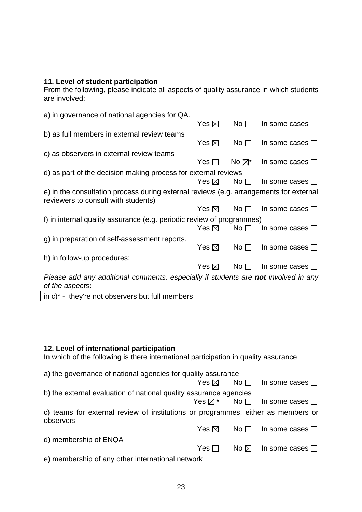## **11. Level of student participation**

From the following, please indicate all aspects of quality assurance in which students are involved:

| a) in governance of national agencies for QA.                                                                                 |                 |                 |                         |
|-------------------------------------------------------------------------------------------------------------------------------|-----------------|-----------------|-------------------------|
|                                                                                                                               | Yes $\boxtimes$ | No <sub>1</sub> | In some cases $\square$ |
| b) as full members in external review teams                                                                                   |                 |                 |                         |
|                                                                                                                               | Yes $\boxtimes$ | No <sub>1</sub> | In some cases $\square$ |
| c) as observers in external review teams                                                                                      |                 |                 |                         |
|                                                                                                                               | Yes $\Box$      | No $\nabla^*$   | In some cases $\Box$    |
| d) as part of the decision making process for external reviews                                                                |                 |                 |                         |
|                                                                                                                               | Yes $\boxtimes$ | No <sub>1</sub> | In some cases $\square$ |
| e) in the consultation process during external reviews (e.g. arrangements for external<br>reviewers to consult with students) |                 |                 |                         |
|                                                                                                                               | Yes $\boxtimes$ | No <sub>1</sub> | In some cases $\square$ |
| f) in internal quality assurance (e.g. periodic review of programmes)                                                         |                 |                 |                         |
|                                                                                                                               | Yes $\boxtimes$ | $No \Box$       | In some cases $\Box$    |
| g) in preparation of self-assessment reports.                                                                                 |                 |                 |                         |
|                                                                                                                               | Yes $\boxtimes$ | No <sub>1</sub> | In some cases $\square$ |
| h) in follow-up procedures:                                                                                                   |                 |                 |                         |
|                                                                                                                               | Yes $\boxtimes$ | No <sub>1</sub> | In some cases $\square$ |
| Please add any additional comments, especially if students are not involved in any<br>of the aspects:                         |                 |                 |                         |

in c)\* - they're not observers but full members

### **12. Level of international participation**

In which of the following is there international participation in quality assurance

| a) the governance of national agencies for quality assurance                                                                                                                                                                       |            |                |                                                  |  |
|------------------------------------------------------------------------------------------------------------------------------------------------------------------------------------------------------------------------------------|------------|----------------|--------------------------------------------------|--|
|                                                                                                                                                                                                                                    |            |                | Yes $\boxtimes$ No $\Box$ In some cases $\Box$   |  |
| b) the external evaluation of national quality assurance agencies                                                                                                                                                                  |            |                |                                                  |  |
|                                                                                                                                                                                                                                    |            |                | Yes $\boxtimes^*$ No $\Box$ In some cases $\Box$ |  |
| c) teams for external review of institutions or programmes, either as members or<br>observers                                                                                                                                      |            |                |                                                  |  |
|                                                                                                                                                                                                                                    |            |                | Yes $\boxtimes$ No $\Box$ In some cases $\Box$   |  |
| d) membership of ENQA                                                                                                                                                                                                              |            |                |                                                  |  |
|                                                                                                                                                                                                                                    | Yes $\Box$ | No $\boxtimes$ | In some cases $\Box$                             |  |
| $\mathcal{N}$ and the set of the set of the set of the set of the set of the set of the set of the set of the set of the set of the set of the set of the set of the set of the set of the set of the set of the set of the set of |            |                |                                                  |  |

e) membership of any other international network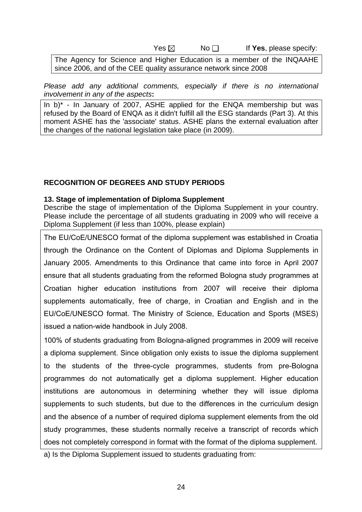$Yes \boxtimes$  No  $\Box$  If **Yes**, please specify:

The Agency for Science and Higher Education is a member of the INQAAHE since 2006, and of the CEE quality assurance network since 2008

*Please add any additional comments, especially if there is no international involvement in any of the aspects***:** 

In  $b$ <sup>\*</sup> - In January of 2007, ASHE applied for the ENQA membership but was refused by the Board of ENQA as it didn't fulfill all the ESG standards (Part 3). At this moment ASHE has the 'associate' status. ASHE plans the external evaluation after the changes of the national legislation take place (in 2009).

#### **RECOGNITION OF DEGREES AND STUDY PERIODS**

#### **13. Stage of implementation of Diploma Supplement**

Describe the stage of implementation of the Diploma Supplement in your country. Please include the percentage of all students graduating in 2009 who will receive a Diploma Supplement (if less than 100%, please explain)

The EU/CoE/UNESCO format of the diploma supplement was established in Croatia through the Ordinance on the Content of Diplomas and Diploma Supplements in January 2005. Amendments to this Ordinance that came into force in April 2007 ensure that all students graduating from the reformed Bologna study programmes at Croatian higher education institutions from 2007 will receive their diploma supplements automatically, free of charge, in Croatian and English and in the EU/CoE/UNESCO format. The Ministry of Science, Education and Sports (MSES) issued a nation-wide handbook in July 2008.

100% of students graduating from Bologna-aligned programmes in 2009 will receive a diploma supplement. Since obligation only exists to issue the diploma supplement to the students of the three-cycle programmes, students from pre-Bologna programmes do not automatically get a diploma supplement. Higher education institutions are autonomous in determining whether they will issue diploma supplements to such students, but due to the differences in the curriculum design and the absence of a number of required diploma supplement elements from the old study programmes, these students normally receive a transcript of records which does not completely correspond in format with the format of the diploma supplement.

a) Is the Diploma Supplement issued to students graduating from: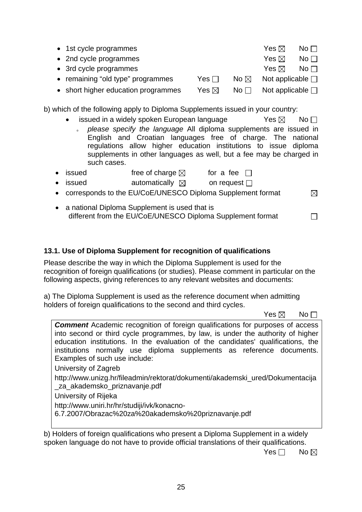|                                                                                                                                                        |                | Yes $\boxtimes$          | $N$ o $\Box$                    |
|--------------------------------------------------------------------------------------------------------------------------------------------------------|----------------|--------------------------|---------------------------------|
|                                                                                                                                                        |                | Yes $\boxtimes$          | $\mathsf{No}\,\Box$             |
|                                                                                                                                                        |                | Yes $\boxtimes$          | $\overline{\mathsf{No}} \ \Box$ |
| Yes I I                                                                                                                                                | No $\boxtimes$ | Not applicable $\square$ |                                 |
| Yes $\boxtimes$                                                                                                                                        | No $\Box$      | Not applicable $\Box$    |                                 |
| • 1st cycle programmes<br>• 2nd cycle programmes<br>• 3rd cycle programmes<br>• remaining "old type" programmes<br>• short higher education programmes |                |                          |                                 |

b) which of the following apply to Diploma Supplements issued in your country:

issued in a widely spoken European language  $Yes \boxtimes \negthinspace Nos \Box$ please specify the language All diploma supplements are issued in English and Croatian languages free of charge. The national regulations allow higher education institutions to issue diploma supplements in other languages as well, but a fee may be charged in such cases.

| • issued | free of charge $\boxtimes$ | for a fee $\Box$  |
|----------|----------------------------|-------------------|
| • issued | automatically $\boxtimes$  | on request $\Box$ |

- corresponds to the EU/CoE/UNESCO Diploma Supplement format
- a national Diploma Supplement is used that is different from the EU/CoE/UNESCO Diploma Supplement format

# **13.1. Use of Diploma Supplement for recognition of qualifications**

Please describe the way in which the Diploma Supplement is used for the recognition of foreign qualifications (or studies). Please comment in particular on the following aspects, giving references to any relevant websites and documents:

a) The Diploma Supplement is used as the reference document when admitting holders of foreign qualifications to the second and third cycles.

 $\mathsf{Yes} \boxtimes \mathsf{No}$ **Comment** Academic recognition of foreign qualifications for purposes of access into second or third cycle programmes, by law, is under the authority of higher education institutions. In the evaluation of the candidates' qualifications, the institutions normally use diploma supplements as reference documents. Examples of such use include: University of Zagreb http://www.unizg.hr/fileadmin/rektorat/dokumenti/akademski\_ured/Dokumentacija \_za\_akademsko\_priznavanje.pdf University of Rijeka http://www.uniri.hr/hr/studiji/ivk/konacno-6.7.2007/Obrazac%20za%20akademsko%20priznavanje.pdf

b) Holders of foreign qualifications who present a Diploma Supplement in a widely spoken language do not have to provide official translations of their qualifications.

No and the set of the set of the SNo and the SNo and the No and the No and the No and the No and the No and the No

 $\boxtimes$ 

 $\Box$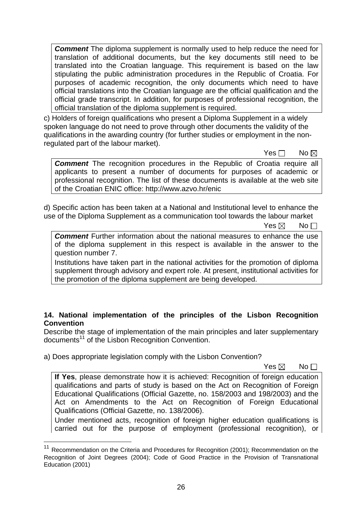**Comment** The diploma supplement is normally used to help reduce the need for translation of additional documents, but the key documents still need to be translated into the Croatian language. This requirement is based on the law stipulating the public administration procedures in the Republic of Croatia. For purposes of academic recognition, the only documents which need to have official translations into the Croatian language are the official qualification and the official grade transcript. In addition, for purposes of professional recognition, the official translation of the diploma supplement is required.

c) Holders of foreign qualifications who present a Diploma Supplement in a widely spoken language do not need to prove through other documents the validity of the qualifications in the awarding country (for further studies or employment in the nonregulated part of the labour market).

No and the state of the SNo. No and the SNo. No and the SNo. No and the No and the No and the No and the No and the No

**Comment** The recognition procedures in the Republic of Croatia require all applicants to present a number of documents for purposes of academic or professional recognition. The list of these documents is available at the web site of the Croatian ENIC office: http://www.azvo.hr/enic

d) Specific action has been taken at a National and Institutional level to enhance the use of the Diploma Supplement as a communication tool towards the labour market

 $\mathsf{Yes} \boxtimes \mathsf{No}$ 

**Comment** Further information about the national measures to enhance the use of the diploma supplement in this respect is available in the answer to the question number 7.

Institutions have taken part in the national activities for the promotion of diploma supplement through advisory and expert role. At present, institutional activities for the promotion of the diploma supplement are being developed.

## **14. National implementation of the principles of the Lisbon Recognition Convention**

Describe the stage of implementation of the main principles and later supplementary documents<sup>11</sup> of the Lisbon Recognition Convention.

a) Does appropriate legislation comply with the Lisbon Convention?

 $\overline{a}$ 

 $\mathsf{Yes} \boxtimes \mathsf{No}$ 

**If Yes**, please demonstrate how it is achieved: Recognition of foreign education qualifications and parts of study is based on the Act on Recognition of Foreign Educational Qualifications (Official Gazette, no. 158/2003 and 198/2003) and the Act on Amendments to the Act on Recognition of Foreign Educational Qualifications (Official Gazette, no. 138/2006).

Under mentioned acts, recognition of foreign higher education qualifications is carried out for the purpose of employment (professional recognition), or

<sup>&</sup>lt;sup>11</sup> Recommendation on the Criteria and Procedures for Recognition (2001); Recommendation on the Recognition of Joint Degrees (2004); Code of Good Practice in the Provision of Transnational Education (2001)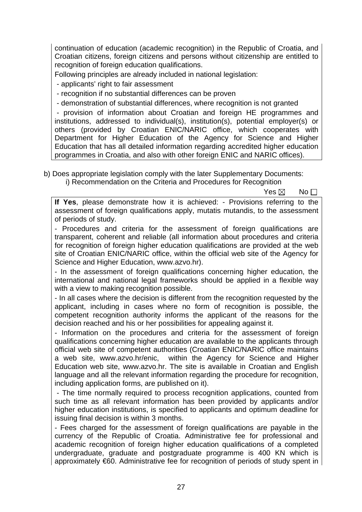continuation of education (academic recognition) in the Republic of Croatia, and Croatian citizens, foreign citizens and persons without citizenship are entitled to recognition of foreign education qualifications.

Following principles are already included in national legislation:

- applicants' right to fair assessment

- recognition if no substantial differences can be proven

- demonstration of substantial differences, where recognition is not granted

 - provision of information about Croatian and foreign HE programmes and institutions, addressed to individual(s), institution(s), potential employer(s) or others (provided by Croatian ENIC/NARIC office, which cooperates with Department for Higher Education of the Agency for Science and Higher Education that has all detailed information regarding accredited higher education programmes in Croatia, and also with other foreign ENIC and NARIC offices).

b) Does appropriate legislation comply with the later Supplementary Documents:

i) Recommendation on the Criteria and Procedures for Recognition

 $\mathsf{Yes} \boxtimes \mathsf{No}$ 

**If Yes**, please demonstrate how it is achieved: - Provisions referring to the assessment of foreign qualifications apply, mutatis mutandis, to the assessment of periods of study.

- Procedures and criteria for the assessment of foreign qualifications are transparent, coherent and reliable (all information about procedures and criteria for recognition of foreign higher education qualifications are provided at the web site of Croatian ENIC/NARIC office, within the official web site of the Agency for Science and Higher Education, www.azvo.hr).

- In the assessment of foreign qualifications concerning higher education, the international and national legal frameworks should be applied in a flexible way with a view to making recognition possible.

- In all cases where the decision is different from the recognition requested by the applicant, including in cases where no form of recognition is possible, the competent recognition authority informs the applicant of the reasons for the decision reached and his or her possibilities for appealing against it.

- Information on the procedures and criteria for the assessment of foreign qualifications concerning higher education are available to the applicants through official web site of competent authorities (Croatian ENIC/NARIC office maintains a web site, www.azvo.hr/enic, within the Agency for Science and Higher Education web site, www.azvo.hr. The site is available in Croatian and English language and all the relevant information regarding the procedure for recognition, including application forms, are published on it).

 - The time normally required to process recognition applications, counted from such time as all relevant information has been provided by applicants and/or higher education institutions, is specified to applicants and optimum deadline for issuing final decision is within 3 months.

- Fees charged for the assessment of foreign qualifications are payable in the currency of the Republic of Croatia. Administrative fee for professional and academic recognition of foreign higher education qualifications of a completed undergraduate, graduate and postgraduate programme is 400 KN which is approximately €60. Administrative fee for recognition of periods of study spent in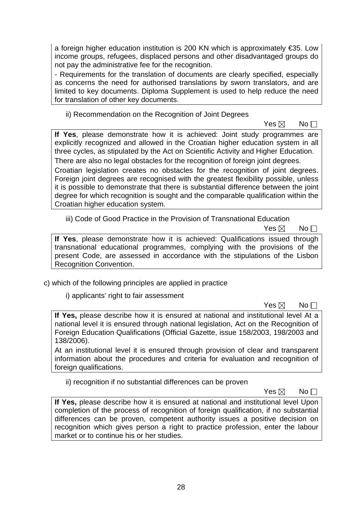a foreign higher education institution is 200 KN which is approximately €35. Low income groups, refugees, displaced persons and other disadvantaged groups do not pay the administrative fee for the recognition.

- Requirements for the translation of documents are clearly specified, especially as concerns the need for authorised translations by sworn translators, and are limited to key documents. Diploma Supplement is used to help reduce the need for translation of other key documents.

ii) Recommendation on the Recognition of Joint Degrees

 $\mathsf{Yes} \boxtimes \mathsf{No}$ 

**If Yes**, please demonstrate how it is achieved: Joint study programmes are explicitly recognized and allowed in the Croatian higher education system in all three cycles, as stipulated by the Act on Scientific Activity and Higher Education. There are also no legal obstacles for the recognition of foreign joint degrees.

Croatian legislation creates no obstacles for the recognition of joint degrees. Foreign joint degrees are recognised with the greatest flexibility possible, unless it is possible to demonstrate that there is substantial difference between the joint degree for which recognition is sought and the comparable qualification within the Croatian higher education system.

iii) Code of Good Practice in the Provision of Transnational Education

 $\mathsf{Yes} \boxtimes \mathsf{No}$ 

**If Yes**, please demonstrate how it is achieved: Qualifications issued through transnational educational programmes, complying with the provisions of the present Code, are assessed in accordance with the stipulations of the Lisbon Recognition Convention.

c) which of the following principles are applied in practice

i) applicants' right to fair assessment

 $\mathsf{Yes} \boxtimes \mathsf{No}$ 

**If Yes,** please describe how it is ensured at national and institutional level At a national level it is ensured through national legislation, Act on the Recognition of Foreign Education Qualifications (Official Gazette, issue 158/2003, 198/2003 and 138/2006).

At an institutional level it is ensured through provision of clear and transparent information about the procedures and criteria for evaluation and recognition of foreign qualifications.

ii) recognition if no substantial differences can be proven

 $\mathsf{Yes} \boxtimes \mathsf{No}$ 

**If Yes,** please describe how it is ensured at national and institutional level Upon completion of the process of recognition of foreign qualification, if no substantial differences can be proven, competent authority issues a positive decision on recognition which gives person a right to practice profession, enter the labour market or to continue his or her studies.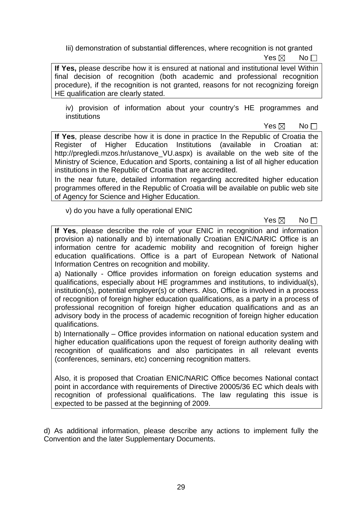Iii) demonstration of substantial differences, where recognition is not granted

 $\mathsf{Yes} \boxtimes \mathsf{No}$ 

**If Yes,** please describe how it is ensured at national and institutional level Within final decision of recognition (both academic and professional recognition procedure), if the recognition is not granted, reasons for not recognizing foreign HE qualification are clearly stated.

iv) provision of information about your country's HE programmes and institutions

 $\mathsf{Yes} \boxtimes \mathsf{No}$ 

**If Yes**, please describe how it is done in practice In the Republic of Croatia the Register of Higher Education Institutions (available in Croatian http://pregledi.mzos.hr/ustanove\_VU.aspx) is available on the web site of the Ministry of Science, Education and Sports, containing a list of all higher education institutions in the Republic of Croatia that are accredited.

In the near future, detailed information regarding accredited higher education programmes offered in the Republic of Croatia will be available on public web site of Agency for Science and Higher Education.

v) do you have a fully operational ENIC

 $\mathsf{Yes} \boxtimes \mathsf{No}$ 

**If Yes**, please describe the role of your ENIC in recognition and information provision a) nationally and b) internationally Croatian ENIC/NARIC Office is an information centre for academic mobility and recognition of foreign higher education qualifications. Office is a part of European Network of National Information Centres on recognition and mobility.

a) Nationally - Office provides information on foreign education systems and qualifications, especially about HE programmes and institutions, to individual(s), institution(s), potential employer(s) or others. Also, Office is involved in a process of recognition of foreign higher education qualifications, as a party in a process of professional recognition of foreign higher education qualifications and as an advisory body in the process of academic recognition of foreign higher education qualifications.

b) Internationally – Office provides information on national education system and higher education qualifications upon the request of foreign authority dealing with recognition of qualifications and also participates in all relevant events (conferences, seminars, etc) concerning recognition matters.

Also, it is proposed that Croatian ENIC/NARIC Office becomes National contact point in accordance with requirements of Directive 20005/36 EC which deals with recognition of professional qualifications. The law regulating this issue is expected to be passed at the beginning of 2009.

d) As additional information, please describe any actions to implement fully the Convention and the later Supplementary Documents.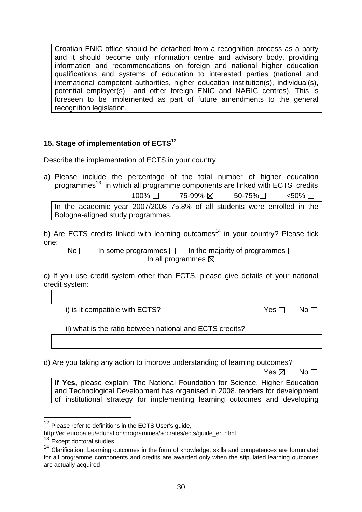Croatian ENIC office should be detached from a recognition process as a party and it should become only information centre and advisory body, providing information and recommendations on foreign and national higher education qualifications and systems of education to interested parties (national and international competent authorities, higher education institution(s), individual(s), potential employer(s) and other foreign ENIC and NARIC centres). This is foreseen to be implemented as part of future amendments to the general recognition legislation.

## **15. Stage of implementation of ECTS12**

Describe the implementation of ECTS in your country.

a) Please include the percentage of the total number of higher education programmes<sup>13</sup> in which all programme components are linked with ECTS credits  $100\%$   $\Box$  75-99%  $\boxtimes$  50-75% $\Box$  <50%  $\Box$ 

In the academic year 2007/2008 75.8% of all students were enrolled in the Bologna-aligned study programmes.

b) Are ECTS credits linked with learning outcomes<sup>14</sup> in your country? Please tick one:

No  $\Box$  In some programmes  $\Box$  In the majority of programmes  $\Box$ In all programmes  $\boxtimes$ 

c) If you use credit system other than ECTS, please give details of your national credit system:

i) is it compatible with ECTS?  $Yes \Box \qquad No \Box$ 

ii) what is the ratio between national and ECTS credits?

d) Are you taking any action to improve understanding of learning outcomes?

 $\mathsf{Yes} \boxtimes \mathsf{No}$ 

**If Yes,** please explain: The National Foundation for Science, Higher Education and Technological Development has organised in 2008. tenders for development of institutional strategy for implementing learning outcomes and developing

 $\overline{a}$ 

<sup>&</sup>lt;sup>12</sup> Please refer to definitions in the ECTS User's guide,

http://ec.europa.eu/education/programmes/socrates/ects/guide\_en.html 13 Except doctoral studies

<sup>&</sup>lt;sup>14</sup> Clarification: Learning outcomes in the form of knowledge, skills and competences are formulated for all programme components and credits are awarded only when the stipulated learning outcomes are actually acquired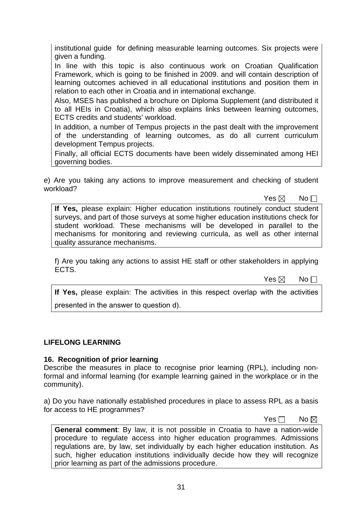institutional guide for defining measurable learning outcomes. Six projects were given a funding.

In line with this topic is also continuous work on Croatian Qualification Framework, which is going to be finished in 2009. and will contain description of learning outcomes achieved in all educational institutions and position them in relation to each other in Croatia and in international exchange.

Also, MSES has published a brochure on Diploma Supplement (and distributed it to all HEIs in Croatia), which also explains links between learning outcomes, ECTS credits and students' workload.

In addition, a number of Tempus projects in the past dealt with the improvement of the understanding of learning outcomes, as do all current curriculum development Tempus projects.

Finally, all official ECTS documents have been widely disseminated among HEI governing bodies.

e) Are you taking any actions to improve measurement and checking of student workload?

 $\mathsf{Yes} \boxtimes \mathsf{No}$ 

**If Yes,** please explain: Higher education institutions routinely conduct student surveys, and part of those surveys at some higher education institutions check for student workload. These mechanisms will be developed in parallel to the mechanisms for monitoring and reviewing curricula, as well as other internal quality assurance mechanisms.

f) Are you taking any actions to assist HE staff or other stakeholders in applying ECTS.

 $\mathsf{Yes} \boxtimes \mathsf{No}$ 

**If Yes,** please explain: The activities in this respect overlap with the activities presented in the answer to question d).

## **LIFELONG LEARNING**

#### **16. Recognition of prior learning**

Describe the measures in place to recognise prior learning (RPL), including nonformal and informal learning (for example learning gained in the workplace or in the community).

a) Do you have nationally established procedures in place to assess RPL as a basis for access to HE programmes?

No and the state of the state of the North State of the North State of the North State of the North State of the No

**General comment**: By law, it is not possible in Croatia to have a nation-wide procedure to regulate access into higher education programmes. Admissions regulations are, by law, set individually by each higher education institution. As such, higher education institutions individually decide how they will recognize prior learning as part of the admissions procedure.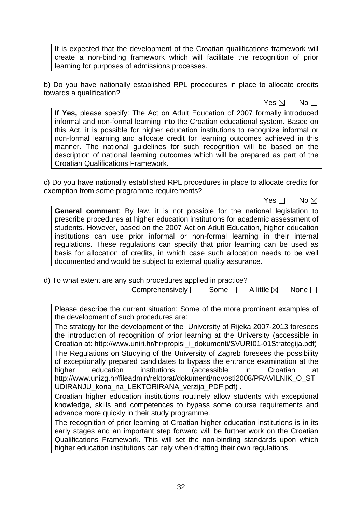It is expected that the development of the Croatian qualifications framework will create a non-binding framework which will facilitate the recognition of prior learning for purposes of admissions processes.

b) Do you have nationally established RPL procedures in place to allocate credits towards a qualification?

 $\mathsf{Yes} \boxtimes \mathsf{No}$ 

**If Yes,** please specify: The Act on Adult Education of 2007 formally introduced informal and non-formal learning into the Croatian educational system. Based on this Act, it is possible for higher education institutions to recognize informal or non-formal learning and allocate credit for learning outcomes achieved in this manner. The national guidelines for such recognition will be based on the description of national learning outcomes which will be prepared as part of the Croatian Qualifications Framework.

c) Do you have nationally established RPL procedures in place to allocate credits for exemption from some programme requirements?

No and the set of the set of the No and No and No and No and No and No and No and No and No and No and No and No

**General comment**: By law, it is not possible for the national legislation to prescribe procedures at higher education institutions for academic assessment of students. However, based on the 2007 Act on Adult Education, higher education institutions can use prior informal or non-formal learning in their internal regulations. These regulations can specify that prior learning can be used as basis for allocation of credits, in which case such allocation needs to be well documented and would be subject to external quality assurance.

d) To what extent are any such procedures applied in practice? Comprehensively  $\Box$  Some  $\Box$  A little  $\boxtimes$  None  $\Box$ 

Please describe the current situation: Some of the more prominent examples of the development of such procedures are:

The strategy for the development of the University of Rijeka 2007-2013 foresees the introduction of recognition of prior learning at the University (accessible in Croatian at: http://www.uniri.hr/hr/propisi\_i\_dokumenti/SVURI01-01Strategija.pdf) The Regulations on Studying of the University of Zagreb foresees the possibility of exceptionally prepared candidates to bypass the entrance examination at the higher education institutions (accessible in Croatian at http://www.unizg.hr/fileadmin/rektorat/dokumenti/novosti2008/PRAVILNIK\_O\_ST UDIRANJU\_kona\_na\_LEKTORIRANA\_verzija\_PDF.pdf) .

Croatian higher education institutions routinely allow students with exceptional knowledge, skills and competences to bypass some course requirements and advance more quickly in their study programme.

The recognition of prior learning at Croatian higher education institutions is in its early stages and an important step forward will be further work on the Croatian Qualifications Framework. This will set the non-binding standards upon which higher education institutions can rely when drafting their own regulations.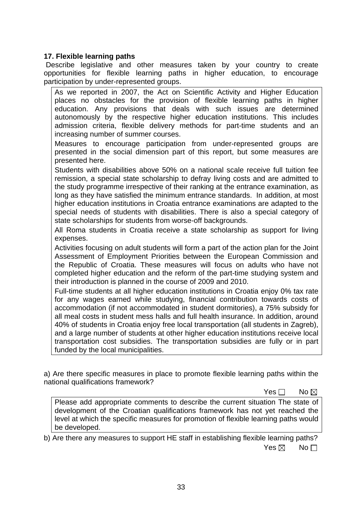### **17. Flexible learning paths**

 Describe legislative and other measures taken by your country to create opportunities for flexible learning paths in higher education, to encourage participation by under-represented groups.

As we reported in 2007, the Act on Scientific Activity and Higher Education places no obstacles for the provision of flexible learning paths in higher education. Any provisions that deals with such issues are determined autonomously by the respective higher education institutions. This includes admission criteria, flexible delivery methods for part-time students and an increasing number of summer courses.

Measures to encourage participation from under-represented groups are presented in the social dimension part of this report, but some measures are presented here.

Students with disabilities above 50% on a national scale receive full tuition fee remission, a special state scholarship to defray living costs and are admitted to the study programme irrespective of their ranking at the entrance examination, as long as they have satisfied the minimum entrance standards. In addition, at most higher education institutions in Croatia entrance examinations are adapted to the special needs of students with disabilities. There is also a special category of state scholarships for students from worse-off backgrounds.

All Roma students in Croatia receive a state scholarship as support for living expenses.

Activities focusing on adult students will form a part of the action plan for the Joint Assessment of Employment Priorities between the European Commission and the Republic of Croatia. These measures will focus on adults who have not completed higher education and the reform of the part-time studying system and their introduction is planned in the course of 2009 and 2010.

Full-time students at all higher education institutions in Croatia enjoy 0% tax rate for any wages earned while studying, financial contribution towards costs of accommodation (if not accommodated in student dormitories), a 75% subsidy for all meal costs in student mess halls and full health insurance. In addition, around 40% of students in Croatia enjoy free local transportation (all students in Zagreb), and a large number of students at other higher education institutions receive local transportation cost subsidies. The transportation subsidies are fully or in part funded by the local municipalities.

a) Are there specific measures in place to promote flexible learning paths within the national qualifications framework?

No and the set of the set of the SNo and the No and No and No and No and No and No and No and No and No and No

Please add appropriate comments to describe the current situation The state of development of the Croatian qualifications framework has not yet reached the level at which the specific measures for promotion of flexible learning paths would be developed.

b) Are there any measures to support HE staff in establishing flexible learning paths?  $\mathsf{Yes} \boxtimes \mathsf{No}$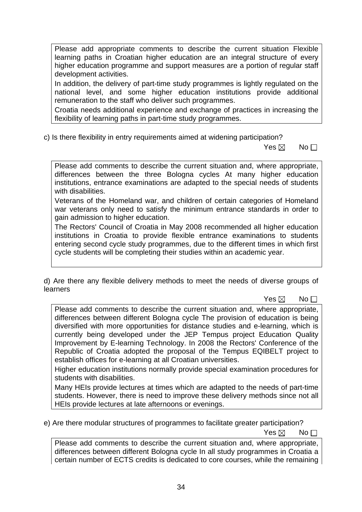Please add appropriate comments to describe the current situation Flexible learning paths in Croatian higher education are an integral structure of every higher education programme and support measures are a portion of regular staff development activities.

In addition, the delivery of part-time study programmes is lightly regulated on the national level, and some higher education institutions provide additional remuneration to the staff who deliver such programmes.

Croatia needs additional experience and exchange of practices in increasing the flexibility of learning paths in part-time study programmes.

c) Is there flexibility in entry requirements aimed at widening participation?

 $\mathsf{Yes} \boxtimes \mathsf{No}$ 

Please add comments to describe the current situation and, where appropriate, differences between the three Bologna cycles At many higher education institutions, entrance examinations are adapted to the special needs of students with disabilities.

Veterans of the Homeland war, and children of certain categories of Homeland war veterans only need to satisfy the minimum entrance standards in order to gain admission to higher education.

The Rectors' Council of Croatia in May 2008 recommended all higher education institutions in Croatia to provide flexible entrance examinations to students entering second cycle study programmes, due to the different times in which first cycle students will be completing their studies within an academic year.

d) Are there any flexible delivery methods to meet the needs of diverse groups of learners

 $\mathsf{Yes} \boxtimes \mathsf{No}$ 

Please add comments to describe the current situation and, where appropriate, differences between different Bologna cycle The provision of education is being diversified with more opportunities for distance studies and e-learning, which is currently being developed under the JEP Tempus project Education Quality Improvement by E-learning Technology. In 2008 the Rectors' Conference of the Republic of Croatia adopted the proposal of the Tempus EQIBELT project to establish offices for e-learning at all Croatian universities.

Higher education institutions normally provide special examination procedures for students with disabilities.

Many HEIs provide lectures at times which are adapted to the needs of part-time students. However, there is need to improve these delivery methods since not all HEIs provide lectures at late afternoons or evenings.

e) Are there modular structures of programmes to facilitate greater participation?

 $\mathsf{Yes} \boxtimes \mathsf{No}$ 

Please add comments to describe the current situation and, where appropriate, differences between different Bologna cycle In all study programmes in Croatia a certain number of ECTS credits is dedicated to core courses, while the remaining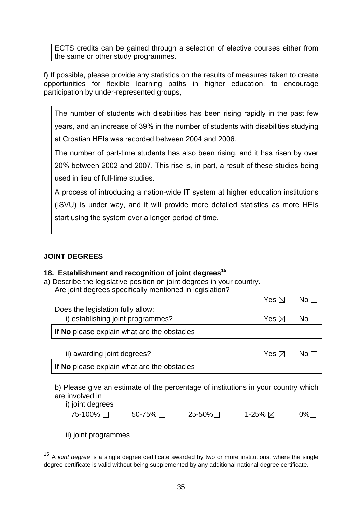ECTS credits can be gained through a selection of elective courses either from the same or other study programmes.

f) If possible, please provide any statistics on the results of measures taken to create opportunities for flexible learning paths in higher education, to encourage participation by under-represented groups,

The number of students with disabilities has been rising rapidly in the past few years, and an increase of 39% in the number of students with disabilities studying at Croatian HEIs was recorded between 2004 and 2006.

The number of part-time students has also been rising, and it has risen by over 20% between 2002 and 2007. This rise is, in part, a result of these studies being used in lieu of full-time studies.

A process of introducing a nation-wide IT system at higher education institutions (ISVU) is under way, and it will provide more detailed statistics as more HEIs start using the system over a longer period of time.

## **JOINT DEGREES**

#### **18. Establishment and recognition of joint degrees15**

a) Describe the legislative position on joint degrees in your country. Are joint degrees specifically mentioned in legislation?

|                                             | Yes ⊠           | $N_O$ $\Box$ |
|---------------------------------------------|-----------------|--------------|
| Does the legislation fully allow:           |                 |              |
| i) establishing joint programmes?           | Yes $\boxtimes$ | $N$ o $\Box$ |
| If No please explain what are the obstacles |                 |              |
|                                             |                 |              |

| ii) awarding joint degrees?                 | Yes ⊠ | $\overline{\mathsf{No}}$ $\Box$ |
|---------------------------------------------|-------|---------------------------------|
| If No please explain what are the obstacles |       |                                 |

b) Please give an estimate of the percentage of institutions in your country which are involved in

i) joint degrees

 $\overline{a}$ 

| 75-100% □ | 50-75% □ | 25-50%∏ | 1-25% $\boxtimes$ | 0%⊟ |
|-----------|----------|---------|-------------------|-----|
|           |          |         |                   |     |

ii) joint programmes

<sup>15</sup> A *joint degree* is a single degree certificate awarded by two or more institutions, where the single degree certificate is valid without being supplemented by any additional national degree certificate.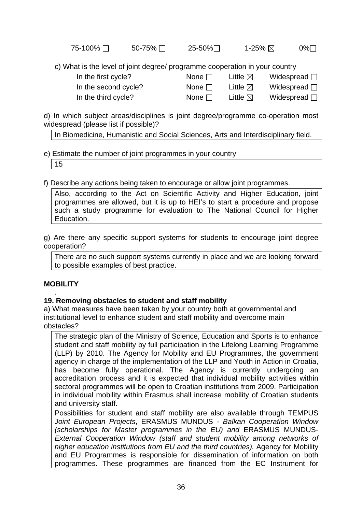| 75-100% □ | 50-75% $\Box$ | 25-50%∏ | 1-25% ⊠ | 0%□ |
|-----------|---------------|---------|---------|-----|
|-----------|---------------|---------|---------|-----|

c) What is the level of joint degree/ programme cooperation in your country

- 
- 
- In the first cycle? None  $\Box$  Little  $\boxtimes$  Widespread  $\Box$ In the second cycle? None  $\Box$  Little  $\boxtimes$  Widespread  $\Box$

In the third cycle? None  $\Box$  Little  $\boxtimes$  Widespread  $\Box$ 

d) In which subject areas/disciplines is joint degree/programme co-operation most widespread (please list if possible)?

In Biomedicine, Humanistic and Social Sciences, Arts and Interdisciplinary field.

# e) Estimate the number of joint programmes in your country

15

f) Describe any actions being taken to encourage or allow joint programmes.

Also, according to the Act on Scientific Activity and Higher Education, joint programmes are allowed, but it is up to HEI's to start a procedure and propose such a study programme for evaluation to The National Council for Higher Education.

g) Are there any specific support systems for students to encourage joint degree cooperation?

There are no such support systems currently in place and we are looking forward to possible examples of best practice.

# **MOBILITY**

#### . **19. Removing obstacles to student and staff mobility**

a) What measures have been taken by your country both at governmental and institutional level to enhance student and staff mobility and overcome main obstacles?

The strategic plan of the Ministry of Science, Education and Sports is to enhance student and staff mobility by full participation in the Lifelong Learning Programme (LLP) by 2010. The Agency for Mobility and EU Programmes, the government agency in charge of the implementation of the LLP and Youth in Action in Croatia, has become fully operational. The Agency is currently undergoing an accreditation process and it is expected that individual mobility activities within sectoral programmes will be open to Croatian institutions from 2009. Participation in individual mobility within Erasmus shall increase mobility of Croatian students and university staff.

Possibilities for student and staff mobility are also available through TEMPUS *Joint European Projects*, ERASMUS MUNDUS - *Balkan Cooperation Window (scholarships for Master programmes in the EU) and* ERASMUS MUNDUS-*External Cooperation Window (staff and student mobility among networks of*  higher education institutions from EU and the third countries). Agency for Mobility and EU Programmes is responsible for dissemination of information on both programmes. These programmes are financed from the EC Instrument for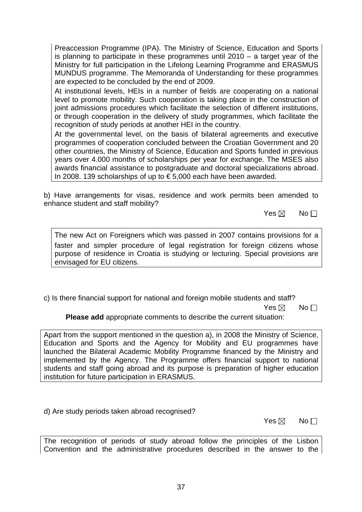Preaccession Programme (IPA). The Ministry of Science, Education and Sports is planning to participate in these programmes until 2010 – a target year of the Ministry for full participation in the Lifelong Learning Programme and ERASMUS MUNDUS programme. The Memoranda of Understanding for these programmes are expected to be concluded by the end of 2009.

At institutional levels, HEIs in a number of fields are cooperating on a national level to promote mobility. Such cooperation is taking place in the construction of joint admissions procedures which facilitate the selection of different institutions, or through cooperation in the delivery of study programmes, which facilitate the recognition of study periods at another HEI in the country.

At the governmental level, on the basis of bilateral agreements and executive programmes of cooperation concluded between the Croatian Government and 20 other countries, the Ministry of Science, Education and Sports funded in previous years over 4.000 months of scholarships per year for exchange. The MSES also awards financial assistance to postgraduate and doctoral specializations abroad. In 2008. 139 scholarships of up to € 5,000 each have been awarded.

b) Have arrangements for visas, residence and work permits been amended to enhance student and staff mobility?

 $\mathsf{Yes} \boxtimes \mathsf{No}$ 

The new Act on Foreigners which was passed in 2007 contains provisions for a faster and simpler procedure of legal registration for foreign citizens whose purpose of residence in Croatia is studying or lecturing. Special provisions are envisaged for EU citizens.

c) Is there financial support for national and foreign mobile students and staff?

 $\mathsf{Yes} \boxtimes \mathsf{No}$ 

**Please add** appropriate comments to describe the current situation:

Apart from the support mentioned in the question a), in 2008 the Ministry of Science, Education and Sports and the Agency for Mobility and EU programmes have launched the Bilateral Academic Mobility Programme financed by the Ministry and implemented by the Agency. The Programme offers financial support to national students and staff going abroad and its purpose is preparation of higher education institution for future participation in ERASMUS.

d) Are study periods taken abroad recognised?

 $\mathsf{Yes} \boxtimes \mathsf{No}$ 

The recognition of periods of study abroad follow the principles of the Lisbon Convention and the administrative procedures described in the answer to the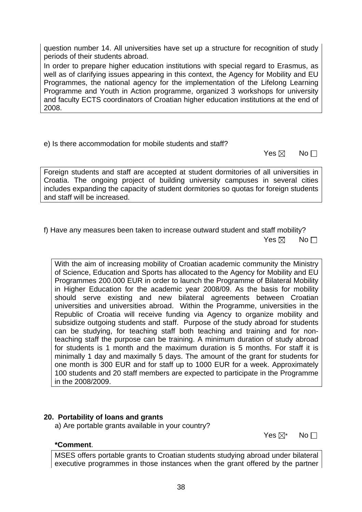question number 14. All universities have set up a structure for recognition of study periods of their students abroad. In order to prepare higher education institutions with special regard to Erasmus, as

well as of clarifying issues appearing in this context, the Agency for Mobility and EU Programmes, the national agency for the implementation of the Lifelong Learning Programme and Youth in Action programme, organized 3 workshops for university and faculty ECTS coordinators of Croatian higher education institutions at the end of 2008.

e) Is there accommodation for mobile students and staff?

 $\mathsf{Yes} \boxtimes \mathsf{No}$ 

Foreign students and staff are accepted at student dormitories of all universities in Croatia. The ongoing project of building university campuses in several cities includes expanding the capacity of student dormitories so quotas for foreign students and staff will be increased.

f) Have any measures been taken to increase outward student and staff mobility?  $\mathsf{Yes} \boxtimes \mathsf{No}$ 

With the aim of increasing mobility of Croatian academic community the Ministry of Science, Education and Sports has allocated to the Agency for Mobility and EU Programmes 200.000 EUR in order to launch the Programme of Bilateral Mobility in Higher Education for the academic year 2008/09. As the basis for mobility should serve existing and new bilateral agreements between Croatian universities and universities abroad. Within the Programme, universities in the Republic of Croatia will receive funding via Agency to organize mobility and subsidize outgoing students and staff. Purpose of the study abroad for students can be studying, for teaching staff both teaching and training and for nonteaching staff the purpose can be training. A minimum duration of study abroad for students is 1 month and the maximum duration is 5 months. For staff it is minimally 1 day and maximally 5 days. The amount of the grant for students for one month is 300 EUR and for staff up to 1000 EUR for a week. Approximately 100 students and 20 staff members are expected to participate in the Programme in the 2008/2009.

## **20. Portability of loans and grants**

a) Are portable grants available in your country?

#### **\*Comment**.

 $\mathsf{Yes} \boxtimes^*$  No.

MSES offers portable grants to Croatian students studying abroad under bilateral executive programmes in those instances when the grant offered by the partner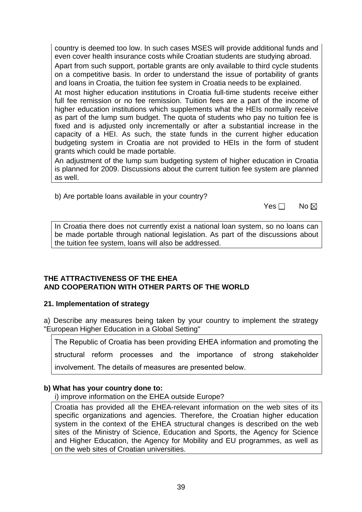country is deemed too low. In such cases MSES will provide additional funds and even cover health insurance costs while Croatian students are studying abroad.

Apart from such support, portable grants are only available to third cycle students on a competitive basis. In order to understand the issue of portability of grants and loans in Croatia, the tuition fee system in Croatia needs to be explained.

At most higher education institutions in Croatia full-time students receive either full fee remission or no fee remission. Tuition fees are a part of the income of higher education institutions which supplements what the HEIs normally receive as part of the lump sum budget. The quota of students who pay no tuition fee is fixed and is adjusted only incrementally or after a substantial increase in the capacity of a HEI. As such, the state funds in the current higher education budgeting system in Croatia are not provided to HEIs in the form of student grants which could be made portable.

An adjustment of the lump sum budgeting system of higher education in Croatia is planned for 2009. Discussions about the current tuition fee system are planned as well.

b) Are portable loans available in your country?

| Yes $\Box$ No $\boxtimes$ |  |
|---------------------------|--|
|---------------------------|--|

In Croatia there does not currently exist a national loan system, so no loans can be made portable through national legislation. As part of the discussions about the tuition fee system, loans will also be addressed.

#### **THE ATTRACTIVENESS OF THE EHEA AND COOPERATION WITH OTHER PARTS OF THE WORLD**

## **21. Implementation of strategy**

a) Describe any measures being taken by your country to implement the strategy "European Higher Education in a Global Setting"

The Republic of Croatia has been providing EHEA information and promoting the

structural reform processes and the importance of strong stakeholder

involvement. The details of measures are presented below.

## **b) What has your country done to:**

i) improve information on the EHEA outside Europe?

Croatia has provided all the EHEA-relevant information on the web sites of its specific organizations and agencies. Therefore, the Croatian higher education system in the context of the EHEA structural changes is described on the web sites of the Ministry of Science, Education and Sports, the Agency for Science and Higher Education, the Agency for Mobility and EU programmes, as well as on the web sites of Croatian universities.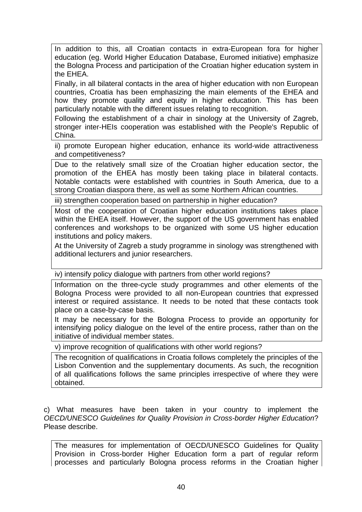In addition to this, all Croatian contacts in extra-European fora for higher education (eg. World Higher Education Database, Euromed initiative) emphasize the Bologna Process and participation of the Croatian higher education system in the EHEA.

Finally, in all bilateral contacts in the area of higher education with non European countries, Croatia has been emphasizing the main elements of the EHEA and how they promote quality and equity in higher education. This has been particularly notable with the different issues relating to recognition.

Following the establishment of a chair in sinology at the University of Zagreb, stronger inter-HEIs cooperation was established with the People's Republic of China.

ii) promote European higher education, enhance its world-wide attractiveness and competitiveness?

Due to the relatively small size of the Croatian higher education sector, the promotion of the EHEA has mostly been taking place in bilateral contacts. Notable contacts were established with countries in South America, due to a strong Croatian diaspora there, as well as some Northern African countries.

iii) strengthen cooperation based on partnership in higher education?

Most of the cooperation of Croatian higher education institutions takes place within the EHEA itself. However, the support of the US government has enabled conferences and workshops to be organized with some US higher education institutions and policy makers.

At the University of Zagreb a study programme in sinology was strengthened with additional lecturers and junior researchers.

iv) intensify policy dialogue with partners from other world regions?

Information on the three-cycle study programmes and other elements of the Bologna Process were provided to all non-European countries that expressed interest or required assistance. It needs to be noted that these contacts took place on a case-by-case basis.

It may be necessary for the Bologna Process to provide an opportunity for intensifying policy dialogue on the level of the entire process, rather than on the initiative of individual member states.

v) improve recognition of qualifications with other world regions?

The recognition of qualifications in Croatia follows completely the principles of the Lisbon Convention and the supplementary documents. As such, the recognition of all qualifications follows the same principles irrespective of where they were obtained.

c) What measures have been taken in your country to implement the *OECD/UNESCO Guidelines for Quality Provision in Cross-border Higher Education*? Please describe.

The measures for implementation of OECD/UNESCO Guidelines for Quality Provision in Cross-border Higher Education form a part of regular reform processes and particularly Bologna process reforms in the Croatian higher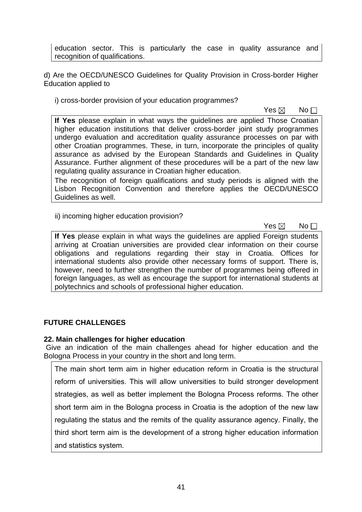education sector. This is particularly the case in quality assurance and recognition of qualifications.

d) Are the OECD/UNESCO Guidelines for Quality Provision in Cross-border Higher Education applied to

i) cross-border provision of your education programmes?

 $\mathsf{Yes} \boxtimes \mathsf{No}$ 

**If Yes** please explain in what ways the guidelines are applied Those Croatian higher education institutions that deliver cross-border joint study programmes undergo evaluation and accreditation quality assurance processes on par with other Croatian programmes. These, in turn, incorporate the principles of quality assurance as advised by the European Standards and Guidelines in Quality Assurance. Further alignment of these procedures will be a part of the new law regulating quality assurance in Croatian higher education.

The recognition of foreign qualifications and study periods is aligned with the Lisbon Recognition Convention and therefore applies the OECD/UNESCO Guidelines as well.

ii) incoming higher education provision?

 $\mathsf{Yes} \boxtimes \mathsf{No}$ 

**If Yes** please explain in what ways the guidelines are applied Foreign students arriving at Croatian universities are provided clear information on their course obligations and regulations regarding their stay in Croatia. Offices for international students also provide other necessary forms of support. There is, however, need to further strengthen the number of programmes being offered in foreign languages, as well as encourage the support for international students at polytechnics and schools of professional higher education.

## **FUTURE CHALLENGES**

#### **22. Main challenges for higher education**

 Give an indication of the main challenges ahead for higher education and the Bologna Process in your country in the short and long term.

The main short term aim in higher education reform in Croatia is the structural reform of universities. This will allow universities to build stronger development strategies, as well as better implement the Bologna Process reforms. The other short term aim in the Bologna process in Croatia is the adoption of the new law regulating the status and the remits of the quality assurance agency. Finally, the third short term aim is the development of a strong higher education information and statistics system.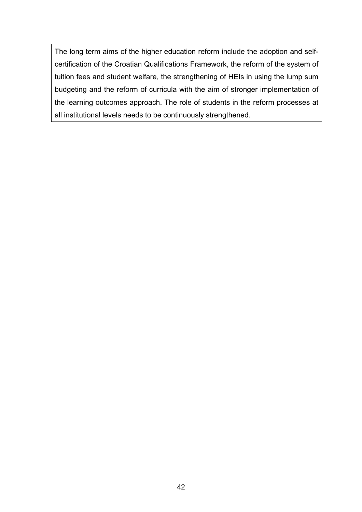The long term aims of the higher education reform include the adoption and selfcertification of the Croatian Qualifications Framework, the reform of the system of tuition fees and student welfare, the strengthening of HEIs in using the lump sum budgeting and the reform of curricula with the aim of stronger implementation of the learning outcomes approach. The role of students in the reform processes at all institutional levels needs to be continuously strengthened.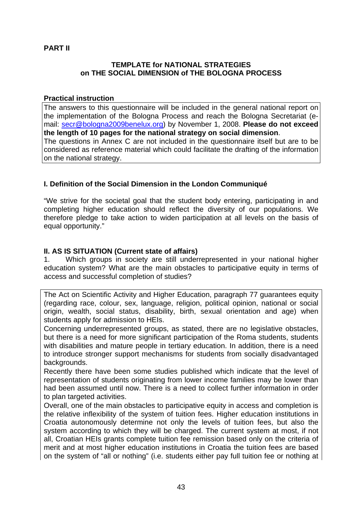## **PART II**

#### **TEMPLATE for NATIONAL STRATEGIES on THE SOCIAL DIMENSION of THE BOLOGNA PROCESS**

#### **Practical instruction**

The answers to this questionnaire will be included in the general national report on the implementation of the Bologna Process and reach the Bologna Secretariat (email: secr@bologna2009benelux.org) by November 1, 2008. **Please do not exceed the length of 10 pages for the national strategy on social dimension**. The questions in Annex C are not included in the questionnaire itself but are to be considered as reference material which could facilitate the drafting of the information on the national strategy.

## **I. Definition of the Social Dimension in the London Communiqué**

"We strive for the societal goal that the student body entering, participating in and completing higher education should reflect the diversity of our populations. We therefore pledge to take action to widen participation at all levels on the basis of equal opportunity."

### **II. AS IS SITUATION (Current state of affairs)**

1. Which groups in society are still underrepresented in your national higher education system? What are the main obstacles to participative equity in terms of access and successful completion of studies?

The Act on Scientific Activity and Higher Education, paragraph 77 guarantees equity (regarding race, colour, sex, language, religion, political opinion, national or social origin, wealth, social status, disability, birth, sexual orientation and age) when students apply for admission to HEIs.

Concerning underrepresented groups, as stated, there are no legislative obstacles, but there is a need for more significant participation of the Roma students, students with disabilities and mature people in tertiary education. In addition, there is a need to introduce stronger support mechanisms for students from socially disadvantaged backgrounds.

Recently there have been some studies published which indicate that the level of representation of students originating from lower income families may be lower than had been assumed until now. There is a need to collect further information in order to plan targeted activities.

Overall, one of the main obstacles to participative equity in access and completion is the relative inflexibility of the system of tuition fees. Higher education institutions in Croatia autonomously determine not only the levels of tuition fees, but also the system according to which they will be charged. The current system at most, if not all, Croatian HEIs grants complete tuition fee remission based only on the criteria of merit and at most higher education institutions in Croatia the tuition fees are based on the system of "all or nothing" (i.e. students either pay full tuition fee or nothing at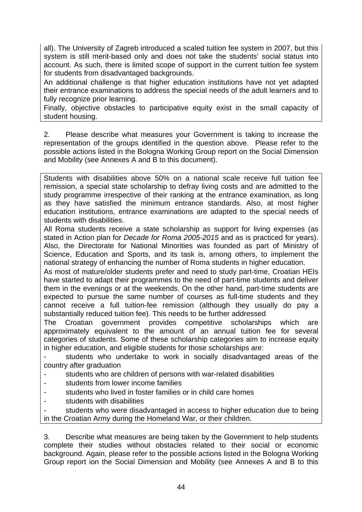all). The University of Zagreb introduced a scaled tuition fee system in 2007, but this system is still merit-based only and does not take the students' social status into account. As such, there is limited scope of support in the current tuition fee system for students from disadvantaged backgrounds.

An additional challenge is that higher education institutions have not yet adapted their entrance examinations to address the special needs of the adult learners and to fully recognize prior learning.

Finally, objective obstacles to participative equity exist in the small capacity of student housing.

2. Please describe what measures your Government is taking to increase the representation of the groups identified in the question above. Please refer to the possible actions listed in the Bologna Working Group report on the Social Dimension and Mobility (see Annexes A and B to this document).

Students with disabilities above 50% on a national scale receive full tuition fee remission, a special state scholarship to defray living costs and are admitted to the study programme irrespective of their ranking at the entrance examination, as long as they have satisfied the minimum entrance standards. Also, at most higher education institutions, entrance examinations are adapted to the special needs of students with disabilities.

All Roma students receive a state scholarship as support for living expenses (as stated in Action plan for *Decade for Roma 2005-2015* and as is practiced for years). Also, the Directorate for National Minorities was founded as part of Ministry of Science, Education and Sports, and its task is, among others, to implement the national strategy of enhancing the number of Roma students in higher education.

As most of mature/older students prefer and need to study part-time, Croatian HEIs have started to adapt their programmes to the need of part-time students and deliver them in the evenings or at the weekends. On the other hand, part-time students are expected to pursue the same number of courses as full-time students and they cannot receive a full tuition-fee remission (although they usually do pay a substantially reduced tuition fee). This needs to be further addressed

The Croatian government provides competitive scholarships which are approximately equivalent to the amount of an annual tuition fee for several categories of students. Some of these scholarship categories aim to increase equity in higher education, and eligible students for those scholarships are:

students who undertake to work in socially disadvantaged areas of the country after graduation

- students who are children of persons with war-related disabilities
- students from lower income families
- students who lived in foster families or in child care homes
- students with disabilities

students who were disadvantaged in access to higher education due to being in the Croatian Army during the Homeland War, or their children.

3. Describe what measures are being taken by the Government to help students complete their studies without obstacles related to their social or economic background. Again, please refer to the possible actions listed in the Bologna Working Group report ion the Social Dimension and Mobility (see Annexes A and B to this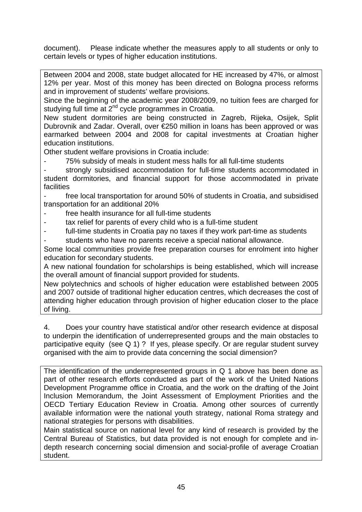document). Please indicate whether the measures apply to all students or only to certain levels or types of higher education institutions.

Between 2004 and 2008, state budget allocated for HE increased by 47%, or almost 12% per year. Most of this money has been directed on Bologna process reforms and in improvement of students' welfare provisions.

Since the beginning of the academic year 2008/2009, no tuition fees are charged for studying full time at  $2^{nd}$  cycle programmes in Croatia.

New student dormitories are being constructed in Zagreb, Rijeka, Osijek, Split Dubrovnik and Zadar. Overall, over €250 million in loans has been approved or was earmarked between 2004 and 2008 for capital investments at Croatian higher education institutions.

Other student welfare provisions in Croatia include:

75% subsidy of meals in student mess halls for all full-time students

strongly subsidised accommodation for full-time students accommodated in student dormitories, and financial support for those accommodated in private facilities

- free local transportation for around 50% of students in Croatia, and subsidised transportation for an additional 20%

- free health insurance for all full-time students
- tax relief for parents of every child who is a full-time student
- full-time students in Croatia pay no taxes if they work part-time as students
- students who have no parents receive a special national allowance.

Some local communities provide free preparation courses for enrolment into higher education for secondary students.

A new national foundation for scholarships is being established, which will increase the overall amount of financial support provided for students.

New polytechnics and schools of higher education were established between 2005 and 2007 outside of traditional higher education centres, which decreases the cost of attending higher education through provision of higher education closer to the place of living.

4. Does your country have statistical and/or other research evidence at disposal to underpin the identification of underrepresented groups and the main obstacles to participative equity (see Q 1) ? If yes, please specify. Or are regular student survey organised with the aim to provide data concerning the social dimension?

The identification of the underrepresented groups in Q 1 above has been done as part of other research efforts conducted as part of the work of the United Nations Development Programme office in Croatia, and the work on the drafting of the Joint Inclusion Memorandum, the Joint Assessment of Employment Priorities and the OECD Tertiary Education Review in Croatia. Among other sources of currently available information were the national youth strategy, national Roma strategy and national strategies for persons with disabilities.

Main statistical source on national level for any kind of research is provided by the Central Bureau of Statistics, but data provided is not enough for complete and indepth research concerning social dimension and social-profile of average Croatian student.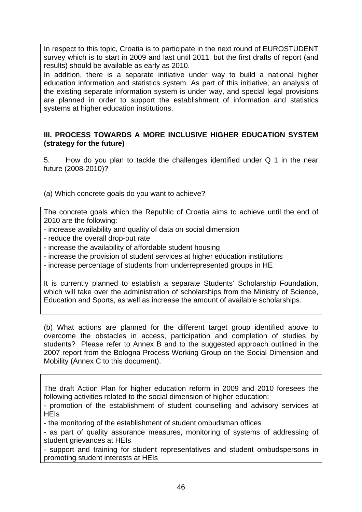In respect to this topic, Croatia is to participate in the next round of EUROSTUDENT survey which is to start in 2009 and last until 2011, but the first drafts of report (and results) should be available as early as 2010.

In addition, there is a separate initiative under way to build a national higher education information and statistics system. As part of this initiative, an analysis of the existing separate information system is under way, and special legal provisions are planned in order to support the establishment of information and statistics systems at higher education institutions.

### **III. PROCESS TOWARDS A MORE INCLUSIVE HIGHER EDUCATION SYSTEM (strategy for the future)**

5. How do you plan to tackle the challenges identified under Q 1 in the near future (2008-2010)?

(a) Which concrete goals do you want to achieve?

The concrete goals which the Republic of Croatia aims to achieve until the end of 2010 are the following:

- increase availability and quality of data on social dimension
- reduce the overall drop-out rate
- increase the availability of affordable student housing
- increase the provision of student services at higher education institutions
- increase percentage of students from underrepresented groups in HE

It is currently planned to establish a separate Students' Scholarship Foundation, which will take over the administration of scholarships from the Ministry of Science, Education and Sports, as well as increase the amount of available scholarships.

(b) What actions are planned for the different target group identified above to overcome the obstacles in access, participation and completion of studies by students? Please refer to Annex B and to the suggested approach outlined in the 2007 report from the Bologna Process Working Group on the Social Dimension and Mobility (Annex C to this document).

The draft Action Plan for higher education reform in 2009 and 2010 foresees the following activities related to the social dimension of higher education:

- promotion of the establishment of student counselling and advisory services at **HEIs** 

- the monitoring of the establishment of student ombudsman offices

- as part of quality assurance measures, monitoring of systems of addressing of student grievances at HEIs

- support and training for student representatives and student ombudspersons in promoting student interests at HEIs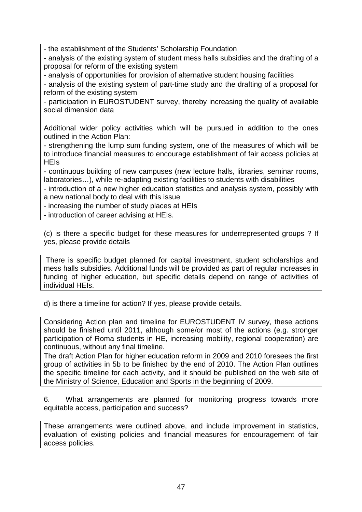- the establishment of the Students' Scholarship Foundation

- analysis of the existing system of student mess halls subsidies and the drafting of a proposal for reform of the existing system

- analysis of opportunities for provision of alternative student housing facilities

- analysis of the existing system of part-time study and the drafting of a proposal for reform of the existing system

- participation in EUROSTUDENT survey, thereby increasing the quality of available social dimension data

Additional wider policy activities which will be pursued in addition to the ones outlined in the Action Plan:

- strengthening the lump sum funding system, one of the measures of which will be to introduce financial measures to encourage establishment of fair access policies at **HEIs** 

- continuous building of new campuses (new lecture halls, libraries, seminar rooms, laboratories…), while re-adapting existing facilities to students with disabilities

- introduction of a new higher education statistics and analysis system, possibly with a new national body to deal with this issue

- increasing the number of study places at HEIs

- introduction of career advising at HEIs.

(c) is there a specific budget for these measures for underrepresented groups ? If yes, please provide details

 There is specific budget planned for capital investment, student scholarships and mess halls subsidies. Additional funds will be provided as part of regular increases in funding of higher education, but specific details depend on range of activities of individual HEIs.

d) is there a timeline for action? If yes, please provide details.

Considering Action plan and timeline for EUROSTUDENT IV survey, these actions should be finished until 2011, although some/or most of the actions (e.g. stronger participation of Roma students in HE, increasing mobility, regional cooperation) are continuous, without any final timeline.

The draft Action Plan for higher education reform in 2009 and 2010 foresees the first group of activities in 5b to be finished by the end of 2010. The Action Plan outlines the specific timeline for each activity, and it should be published on the web site of the Ministry of Science, Education and Sports in the beginning of 2009.

6. What arrangements are planned for monitoring progress towards more equitable access, participation and success?

These arrangements were outlined above, and include improvement in statistics, evaluation of existing policies and financial measures for encouragement of fair access policies.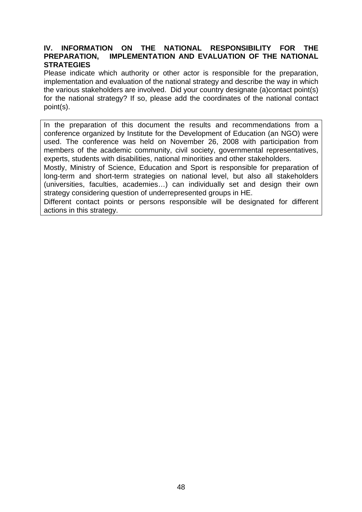#### **IV. INFORMATION ON THE NATIONAL RESPONSIBILITY FOR THE PREPARATION, IMPLEMENTATION AND EVALUATION OF THE NATIONAL STRATEGIES**

Please indicate which authority or other actor is responsible for the preparation, implementation and evaluation of the national strategy and describe the way in which the various stakeholders are involved. Did your country designate (a)contact point(s) for the national strategy? If so, please add the coordinates of the national contact point(s).

In the preparation of this document the results and recommendations from a conference organized by Institute for the Development of Education (an NGO) were used. The conference was held on November 26, 2008 with participation from members of the academic community, civil society, governmental representatives, experts, students with disabilities, national minorities and other stakeholders.

Mostly, Ministry of Science, Education and Sport is responsible for preparation of long-term and short-term strategies on national level, but also all stakeholders (universities, faculties, academies…) can individually set and design their own strategy considering question of underrepresented groups in HE.

Different contact points or persons responsible will be designated for different actions in this strategy.